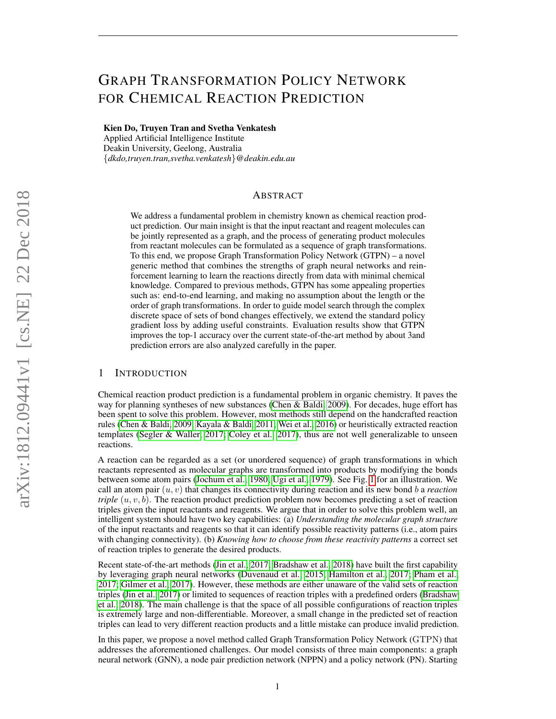# GRAPH TRANSFORMATION POLICY NETWORK FOR CHEMICAL REACTION PREDICTION

Kien Do, Truyen Tran and Svetha Venkatesh

Applied Artificial Intelligence Institute Deakin University, Geelong, Australia {*dkdo,truyen.tran,svetha.venkatesh*}*@deakin.edu.au*

## ABSTRACT

We address a fundamental problem in chemistry known as chemical reaction product prediction. Our main insight is that the input reactant and reagent molecules can be jointly represented as a graph, and the process of generating product molecules from reactant molecules can be formulated as a sequence of graph transformations. To this end, we propose Graph Transformation Policy Network (GTPN) – a novel generic method that combines the strengths of graph neural networks and reinforcement learning to learn the reactions directly from data with minimal chemical knowledge. Compared to previous methods, GTPN has some appealing properties such as: end-to-end learning, and making no assumption about the length or the order of graph transformations. In order to guide model search through the complex discrete space of sets of bond changes effectively, we extend the standard policy gradient loss by adding useful constraints. Evaluation results show that GTPN improves the top-1 accuracy over the current state-of-the-art method by about 3and prediction errors are also analyzed carefully in the paper.

## 1 INTRODUCTION

Chemical reaction product prediction is a fundamental problem in organic chemistry. It paves the way for planning syntheses of new substances [\(Chen & Baldi, 2009\)](#page-10-0). For decades, huge effort has been spent to solve this problem. However, most methods still depend on the handcrafted reaction rules [\(Chen & Baldi, 2009;](#page-10-0) [Kayala & Baldi, 2011;](#page-10-1) [Wei et al., 2016\)](#page-11-0) or heuristically extracted reaction templates [\(Segler & Waller, 2017;](#page-11-1) [Coley et al., 2017\)](#page-10-2), thus are not well generalizable to unseen reactions.

A reaction can be regarded as a set (or unordered sequence) of graph transformations in which reactants represented as molecular graphs are transformed into products by modifying the bonds between some atom pairs [\(Jochum et al., 1980;](#page-10-3) [Ugi et al., 1979\)](#page-11-2). See Fig. [1](#page-1-0) for an illustration. We call an atom pair  $(u, v)$  that changes its connectivity during reaction and its new bond b a *reaction triple*  $(u, v, b)$ . The reaction product prediction problem now becomes predicting a set of reaction triples given the input reactants and reagents. We argue that in order to solve this problem well, an intelligent system should have two key capabilities: (a) *Understanding the molecular graph structure* of the input reactants and reagents so that it can identify possible reactivity patterns (i.e., atom pairs with changing connectivity). (b) *Knowing how to choose from these reactivity patterns* a correct set of reaction triples to generate the desired products.

Recent state-of-the-art methods [\(Jin et al., 2017;](#page-10-4) [Bradshaw et al., 2018\)](#page-10-5) have built the first capability by leveraging graph neural networks [\(Duvenaud et al., 2015;](#page-10-6) [Hamilton et al., 2017;](#page-10-7) [Pham et al.,](#page-11-3) [2017;](#page-11-3) [Gilmer et al., 2017\)](#page-10-8). However, these methods are either unaware of the valid sets of reaction triples [\(Jin et al., 2017\)](#page-10-4) or limited to sequences of reaction triples with a predefined orders [\(Bradshaw](#page-10-5) [et al., 2018\)](#page-10-5). The main challenge is that the space of all possible configurations of reaction triples is extremely large and non-differentiable. Moreover, a small change in the predicted set of reaction triples can lead to very different reaction products and a little mistake can produce invalid prediction.

In this paper, we propose a novel method called Graph Transformation Policy Network (GTPN) that addresses the aforementioned challenges. Our model consists of three main components: a graph neural network (GNN), a node pair prediction network (NPPN) and a policy network (PN). Starting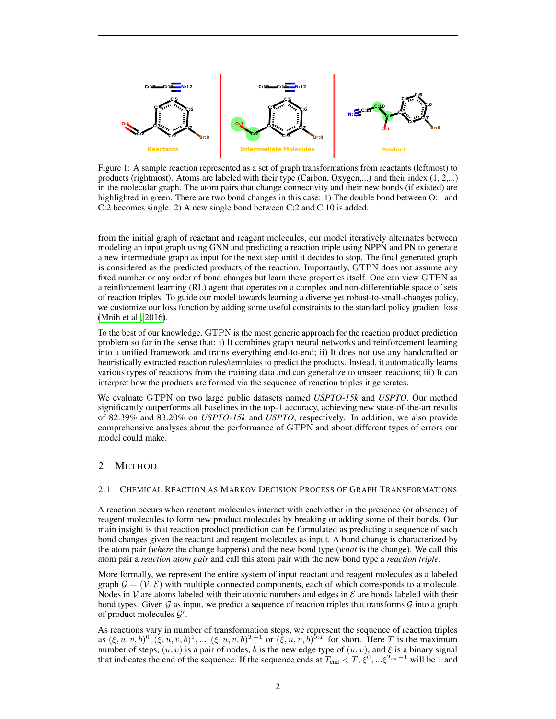<span id="page-1-0"></span>

Figure 1: A sample reaction represented as a set of graph transformations from reactants (leftmost) to products (rightmost). Atoms are labeled with their type (Carbon, Oxygen,...) and their index (1, 2,...) in the molecular graph. The atom pairs that change connectivity and their new bonds (if existed) are highlighted in green. There are two bond changes in this case: 1) The double bond between O:1 and C:2 becomes single. 2) A new single bond between C:2 and C:10 is added.

from the initial graph of reactant and reagent molecules, our model iteratively alternates between modeling an input graph using GNN and predicting a reaction triple using NPPN and PN to generate a new intermediate graph as input for the next step until it decides to stop. The final generated graph is considered as the predicted products of the reaction. Importantly, GTPN does not assume any fixed number or any order of bond changes but learn these properties itself. One can view GTPN as a reinforcement learning (RL) agent that operates on a complex and non-differentiable space of sets of reaction triples. To guide our model towards learning a diverse yet robust-to-small-changes policy, we customize our loss function by adding some useful constraints to the standard policy gradient loss [\(Mnih et al., 2016\)](#page-11-4).

To the best of our knowledge, GTPN is the most generic approach for the reaction product prediction problem so far in the sense that: i) It combines graph neural networks and reinforcement learning into a unified framework and trains everything end-to-end; ii) It does not use any handcrafted or heuristically extracted reaction rules/templates to predict the products. Instead, it automatically learns various types of reactions from the training data and can generalize to unseen reactions; iii) It can interpret how the products are formed via the sequence of reaction triples it generates.

We evaluate GTPN on two large public datasets named *USPTO-15k* and *USPTO*. Our method significantly outperforms all baselines in the top-1 accuracy, achieving new state-of-the-art results of 82.39% and 83.20% on *USPTO-15k* and *USPTO*, respectively. In addition, we also provide comprehensive analyses about the performance of GTPN and about different types of errors our model could make.

## 2 METHOD

## 2.1 CHEMICAL REACTION AS MARKOV DECISION PROCESS OF GRAPH TRANSFORMATIONS

A reaction occurs when reactant molecules interact with each other in the presence (or absence) of reagent molecules to form new product molecules by breaking or adding some of their bonds. Our main insight is that reaction product prediction can be formulated as predicting a sequence of such bond changes given the reactant and reagent molecules as input. A bond change is characterized by the atom pair (*where* the change happens) and the new bond type (*what* is the change). We call this atom pair a *reaction atom pair* and call this atom pair with the new bond type a *reaction triple*.

More formally, we represent the entire system of input reactant and reagent molecules as a labeled graph  $\mathcal{G} = (\mathcal{V}, \mathcal{E})$  with multiple connected components, each of which corresponds to a molecule. Nodes in  $\mathcal V$  are atoms labeled with their atomic numbers and edges in  $\mathcal E$  are bonds labeled with their bond types. Given  $G$  as input, we predict a sequence of reaction triples that transforms  $G$  into a graph of product molecules  $\mathcal{G}'$ .

As reactions vary in number of transformation steps, we represent the sequence of reaction triples as  $(\xi, u, v, b)^0$ ,  $(\xi, u, v, b)^1$ , ...,  $(\xi, u, v, b)^{T-1}$  or  $(\xi, u, v, b)^{0:T}$  for short. Here T is the maximum number of steps,  $(u, v)$  is a pair of nodes, b is the new edge type of  $(u, v)$ , and  $\xi$  is a binary signal that indicates the end of the sequence. If the sequence ends at  $T_{end} < T$ ,  $\xi^0$ , ... $\xi^{T_{end}-1}$  will be 1 and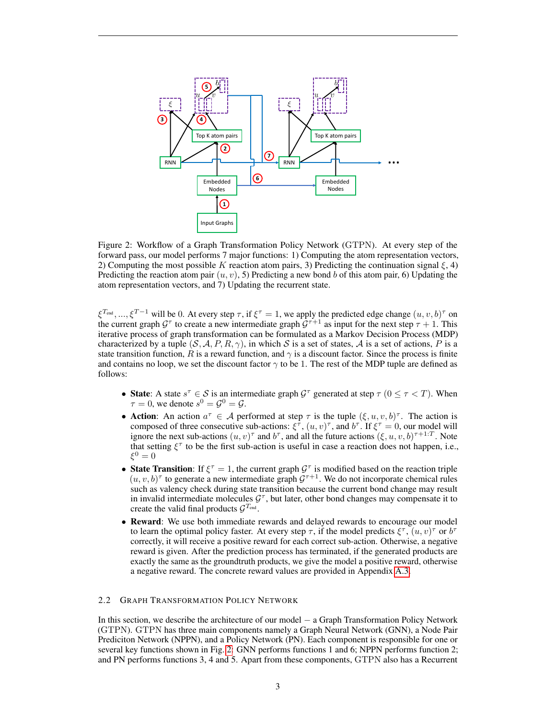<span id="page-2-0"></span>

Figure 2: Workflow of a Graph Transformation Policy Network (GTPN). At every step of the forward pass, our model performs 7 major functions: 1) Computing the atom representation vectors, 2) Computing the most possible K reaction atom pairs, 3) Predicting the continuation signal  $\xi$ , 4) Predicting the reaction atom pair  $(u, v)$ , 5) Predicting a new bond b of this atom pair, 6) Updating the atom representation vectors, and 7) Updating the recurrent state.

 $\xi^{T_{\text{end}}}, ..., \xi^{T-1}$  will be 0. At every step  $\tau$ , if  $\xi^{\tau} = 1$ , we apply the predicted edge change  $(u, v, b)^{\tau}$  on the current graph  $G^{\tau}$  to create a new intermediate graph  $G^{\tau+1}$  as input for the next step  $\tau + 1$ . This iterative process of graph transformation can be formulated as a Markov Decision Process (MDP) characterized by a tuple  $(S, A, P, R, \gamma)$ , in which S is a set of states, A is a set of actions, P is a state transition function, R is a reward function, and  $\gamma$  is a discount factor. Since the process is finite and contains no loop, we set the discount factor  $\gamma$  to be 1. The rest of the MDP tuple are defined as follows:

- State: A state  $s^{\tau} \in S$  is an intermediate graph  $\mathcal{G}^{\tau}$  generated at step  $\tau$  ( $0 \leq \tau < T$ ). When  $\tau = 0$ , we denote  $s^0 = \mathcal{G}^0 = \mathcal{G}$ .
- Action: An action  $a^{\tau} \in A$  performed at step  $\tau$  is the tuple  $(\xi, u, v, b)^{\tau}$ . The action is composed of three consecutive sub-actions:  $\xi^{\tau}$ ,  $(u, v)^{\tau}$ , and  $b^{\tau}$ . If  $\xi^{\tau} = 0$ , our model will ignore the next sub-actions  $(u, v)^\tau$  and  $b^\tau$ , and all the future actions  $(\xi, u, v, b)^{\tau+1}$ . Note that setting  $\xi^{\tau}$  to be the first sub-action is useful in case a reaction does not happen, i.e.,  $\xi^0=0$
- State Transition: If  $\xi^{\tau} = 1$ , the current graph  $\mathcal{G}^{\tau}$  is modified based on the reaction triple  $(u, v, b)$ <sup>T</sup> to generate a new intermediate graph  $\mathcal{G}^{\tau+1}$ . We do not incorporate chemical rules such as valency check during state transition because the current bond change may result in invalid intermediate molecules  $G^{\tau}$ , but later, other bond changes may compensate it to create the valid final products  $\mathcal{G}^{T_{\text{end}}}.$
- Reward: We use both immediate rewards and delayed rewards to encourage our model to learn the optimal policy faster. At every step  $\tau$ , if the model predicts  $\xi^{\tau}$ ,  $(u, v)^{\tau}$  or  $b^{\tau}$ correctly, it will receive a positive reward for each correct sub-action. Otherwise, a negative reward is given. After the prediction process has terminated, if the generated products are exactly the same as the groundtruth products, we give the model a positive reward, otherwise a negative reward. The concrete reward values are provided in Appendix [A.3.](#page-13-0)

## 2.2 GRAPH TRANSFORMATION POLICY NETWORK

In this section, we describe the architecture of our model − a Graph Transformation Policy Network (GTPN). GTPN has three main components namely a Graph Neural Network (GNN), a Node Pair Prediciton Network (NPPN), and a Policy Network (PN). Each component is responsible for one or several key functions shown in Fig. [2:](#page-2-0) GNN performs functions 1 and 6; NPPN performs function 2; and PN performs functions 3, 4 and 5. Apart from these components, GTPN also has a Recurrent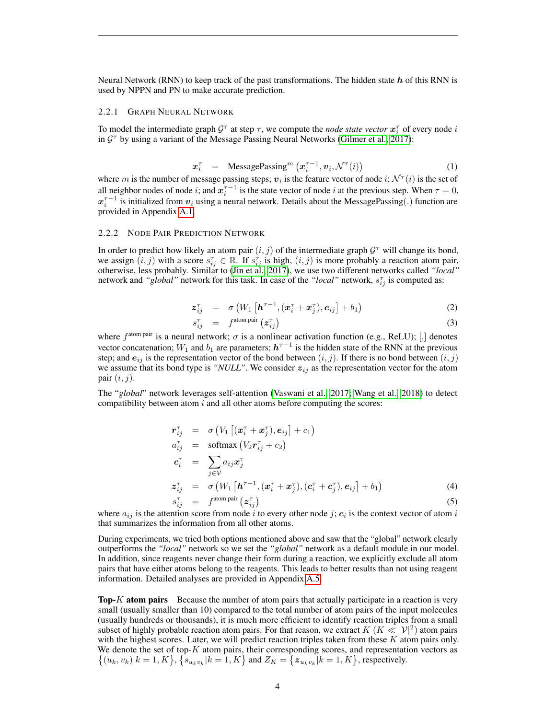Neural Network (RNN) to keep track of the past transformations. The hidden state  $h$  of this RNN is used by NPPN and PN to make accurate prediction.

#### 2.2.1 GRAPH NEURAL NETWORK

To model the intermediate graph  $\mathcal{G}^{\tau}$  at step  $\tau$ , we compute the *node state vector*  $\mathbf{x}_i^{\tau}$  of every node *i* in  $\mathcal{G}^{\tau}$  by using a variant of the Message Passing Neural Networks [\(Gilmer et al., 2017\)](#page-10-8):

<span id="page-3-2"></span>
$$
\boldsymbol{x}_i^{\tau} = \text{MessagePassing}^m\left(\boldsymbol{x}_i^{\tau-1}, \boldsymbol{v}_i, \mathcal{N}^{\tau}(i)\right) \tag{1}
$$

where m is the number of message passing steps;  $v_i$  is the feature vector of node  $i$ ;  $\mathcal{N}^{\tau}(i)$  is the set of all neighbor nodes of node i; and  $x_i^{\tau-1}$  is the state vector of node i at the previous step. When  $\tau = 0$ ,  $x_i^{\tau-1}$  is initialized from  $v_i$  using a neural network. Details about the MessagePassing(.) function are provided in Appendix [A.1.](#page-12-0)

## 2.2.2 NODE PAIR PREDICTION NETWORK

s

In order to predict how likely an atom pair  $(i, j)$  of the intermediate graph  $\mathcal{G}^{\tau}$  will change its bond, we assign  $(i, j)$  with a score  $s_{ij}^{\tau} \in \mathbb{R}$ . If  $s_{ij}^{\tau}$  is high,  $(i, j)$  is more probably a reaction atom pair, otherwise, less probably. Similar to [\(Jin et al., 2017\)](#page-10-4), we use two different networks called *"local"* network and "global" network for this task. In case of the "local" network,  $s_{ij}^{\tau}$  is computed as:

<span id="page-3-1"></span>
$$
\mathbf{z}_{ij}^{\tau} = \sigma \left( W_1 \left[ \boldsymbol{h}^{\tau-1}, (\boldsymbol{x}_i^{\tau} + \boldsymbol{x}_j^{\tau}), \boldsymbol{e}_{ij} \right] + b_1 \right) \tag{2}
$$

$$
s_{ij}^{\tau} = f^{\text{atom pair}}(z_{ij}^{\tau}) \tag{3}
$$

where  $f^{\text{atom pair}}$  is a neural network;  $\sigma$  is a nonlinear activation function (e.g., ReLU); [.] denotes vector concatenation;  $W_1$  and  $b_1$  are parameters;  $h^{\tau-1}$  is the hidden state of the RNN at the previous step; and  $e_{ij}$  is the representation vector of the bond between  $(i, j)$ . If there is no bond between  $(i, j)$ we assume that its bond type is *"NULL"*. We consider  $z_{ij}$  as the representation vector for the atom pair  $(i, j)$ .

The "*global*" network leverages self-attention [\(Vaswani et al., 2017;](#page-11-5) [Wang et al., 2018\)](#page-11-6) to detect compatibility between atom  $i$  and all other atoms before computing the scores:

<span id="page-3-0"></span>
$$
\begin{array}{rcl}\n\mathbf{r}_{ij}^{\tau} & = & \sigma \left( V_1 \left[ (\mathbf{x}_i^{\tau} + \mathbf{x}_j^{\tau}), \mathbf{e}_{ij} \right] + c_1 \right) \\
a_{ij}^{\tau} & = & \text{softmax} \left( V_2 \mathbf{r}_{ij}^{\tau} + c_2 \right) \\
\mathbf{c}_i^{\tau} & = & \sum_{j \in \mathcal{V}} a_{ij} \mathbf{x}_j^{\tau} \\
\mathbf{z}_{ij}^{\tau} & = & \sigma \left( W_1 \left[ \mathbf{h}^{\tau-1}, (\mathbf{x}_i^{\tau} + \mathbf{x}_j^{\tau}), (\mathbf{c}_i^{\tau} + \mathbf{c}_j^{\tau}), \mathbf{e}_{ij} \right] + b_1 \right)\n\end{array} \tag{4}
$$

$$
I_{ij}^{\tau} = f^{\text{atom pair}}(z_{ij}^{\tau})
$$
 (5)

where  $a_{ij}$  is the attention score from node i to every other node j;  $c_i$  is the context vector of atom i that summarizes the information from all other atoms.

During experiments, we tried both options mentioned above and saw that the "global" network clearly outperforms the *"local"* network so we set the *"global"* network as a default module in our model. In addition, since reagents never change their form during a reaction, we explicitly exclude all atom pairs that have either atoms belong to the reagents. This leads to better results than not using reagent information. Detailed analyses are provided in Appendix [A.5.](#page-15-0)

**Top-K atom pairs** Because the number of atom pairs that actually participate in a reaction is very small (usually smaller than 10) compared to the total number of atom pairs of the input molecules (usually hundreds or thousands), it is much more efficient to identify reaction triples from a small subset of highly probable reaction atom pairs. For that reason, we extract  $K$  ( $K \ll |\mathcal{V}|^2$ ) atom pairs with the highest scores. Later, we will predict reaction triples taken from these  $K$  atom pairs only. We denote the set of top- $K$  atom pairs, their corresponding scores, and representation vectors as  $\{(u_k, v_k)|k = \overline{1, K}\}, \{s_{u_kv_k}|k = \overline{1, K}\}$  and  $Z_K = \{z_{u_kv_k}|k = \overline{1, K}\}$ , respectively.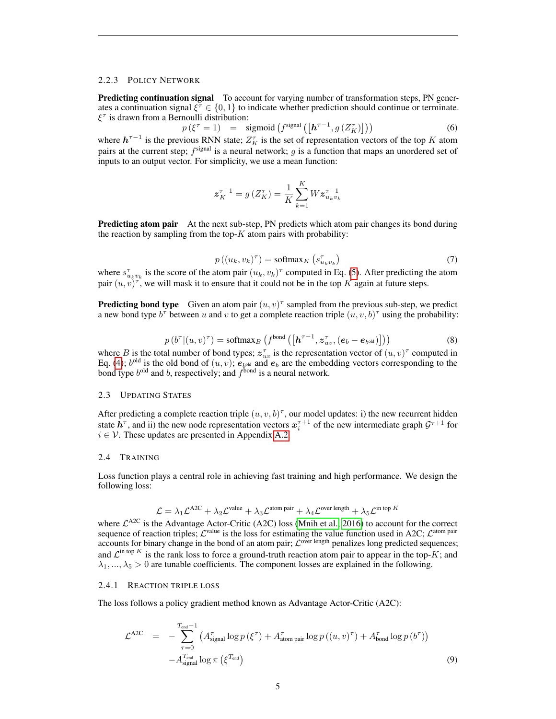## 2.2.3 POLICY NETWORK

**Predicting continuation signal** To account for varying number of transformation steps, PN generates a continuation signal  $\xi^{\tau} \in \{0, 1\}$  to indicate whether prediction should continue or terminate.  $\xi^{\tau}$  is drawn from a Bernoulli distribution:

 $p(\xi^{\tau} = 1) = \text{sigmoid}\left(f^{\text{signal}}\left(\left[h^{\tau-1}, g\left(Z_K^{\tau}\right)\right]\right)\right)$  (6) where  $h^{\tau-1}$  is the previous RNN state;  $Z_K^{\tau}$  is the set of representation vectors of the top K atom pairs at the current step;  $f^{\text{signal}}$  is a neural network;  $g$  is a function that maps an unordered set of inputs to an output vector. For simplicity, we use a mean function:

<span id="page-4-1"></span>
$$
\boldsymbol{z}_{K}^{\tau-1}=\boldsymbol{g}\left(Z_{K}^{\tau}\right)=\frac{1}{K}\sum_{k=1}^{K}\boldsymbol{W}\boldsymbol{z}_{u_{k}v_{k}}^{\tau-1}
$$

**Predicting atom pair** At the next sub-step, PN predicts which atom pair changes its bond during the reaction by sampling from the top- $K$  atom pairs with probability:

<span id="page-4-3"></span>
$$
p((u_k, v_k)^{\tau}) = \text{softmax}_K\left(s_{u_k v_k}^{\tau}\right) \tag{7}
$$

where  $s_{u_kv_k}^{\tau}$  is the score of the atom pair  $(u_k, v_k)^{\tau}$  computed in Eq. [\(5\)](#page-3-0). After predicting the atom pair  $(u, v)^{\tau}$ , we will mask it to ensure that it could not be in the top K again at future steps.

**Predicting bond type** Given an atom pair  $(u, v)^{\tau}$  sampled from the previous sub-step, we predict a new bond type  $b^{\tau}$  between u and v to get a complete reaction triple  $(u, v, b)^{\tau}$  using the probability:

<span id="page-4-2"></span>
$$
p(b^{\tau} | (u, v)^{\tau}) = \text{softmax}_{B} \left( f^{\text{bond}} \left( \left[ \boldsymbol{h}^{\tau-1}, \boldsymbol{z}_{uv}^{\tau}, (\boldsymbol{e}_b - \boldsymbol{e}_{b^{\text{old}}}) \right] \right) \right) \tag{8}
$$

where B is the total number of bond types;  $z_{uv}^{\tau}$  is the representation vector of  $(u, v)^{\tau}$  computed in Eq. [\(4\)](#page-3-0);  $b^{\text{old}}$  is the old bond of  $(u, v)$ ;  $e_{b^{\text{old}}}$  and  $e_b$  are the embedding vectors corresponding to the bond type  $b^{\text{old}}$  and b, respectively; and  $f^{\text{bond}}$  is a neural network.

## 2.3 UPDATING STATES

After predicting a complete reaction triple  $(u, v, b)^\tau$ , our model updates: i) the new recurrent hidden state  $h^{\tau}$ , and ii) the new node representation vectors  $x_i^{\tau+1}$  of the new intermediate graph  $\mathcal{G}^{\tau+1}$  for  $i \in \mathcal{V}$ . These updates are presented in Appendix [A.2.](#page-13-1)

#### 2.4 TRAINING

Loss function plays a central role in achieving fast training and high performance. We design the following loss:

$$
\mathcal{L} = \lambda_1 \mathcal{L}^{A2C} + \lambda_2 \mathcal{L}^{value} + \lambda_3 \mathcal{L}^{atom pair} + \lambda_4 \mathcal{L}^{over length} + \lambda_5 \mathcal{L}^{in top K}
$$

where  $\mathcal{L}^{A2C}$  is the Advantage Actor-Critic (A2C) loss [\(Mnih et al., 2016\)](#page-11-4) to account for the correct sequence of reaction triples;  $\mathcal{L}^{\text{value}}$  is the loss for estimating the value function used in A2C;  $\mathcal{L}^{\text{atom pair}}$ accounts for binary change in the bond of an atom pair;  $\mathcal{L}^{\text{over length}}$  penalizes long predicted sequences; and  $\mathcal{L}^{\text{in top }K}$  is the rank loss to force a ground-truth reaction atom pair to appear in the top-K; and  $\lambda_1, ..., \lambda_5 > 0$  are tunable coefficients. The component losses are explained in the following.

## 2.4.1 REACTION TRIPLE LOSS

The loss follows a policy gradient method known as Advantage Actor-Critic (A2C):

<span id="page-4-0"></span>
$$
\mathcal{L}^{\text{A2C}} = -\sum_{\tau=0}^{T_{\text{end}}-1} \left( A_{\text{signal}}^{\tau} \log p \left( \xi^{\tau} \right) + A_{\text{atom pair}}^{\tau} \log p \left( (u, v)^{\tau} \right) + A_{\text{bond}}^{\tau} \log p \left( b^{\tau} \right) \right) - A_{\text{signal}}^{T_{\text{end}} \log \pi \left( \xi^{T_{\text{end}}} \right)
$$
\n(9)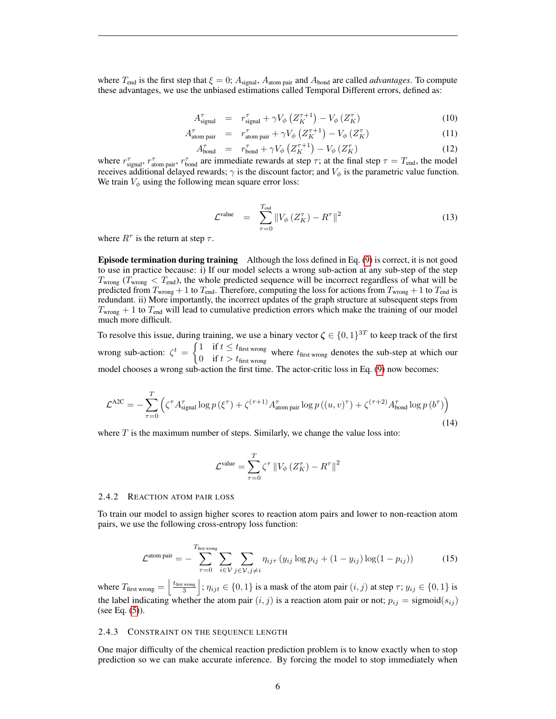where  $T_{end}$  is the first step that  $\xi = 0$ ;  $A_{signal}$ ,  $A_{atom\ pair}$  and  $A_{bond}$  are called *advantages*. To compute these advantages, we use the unbiased estimations called Temporal Different errors, defined as:

$$
A_{\text{signal}}^{\tau} = r_{\text{signal}}^{\tau} + \gamma V_{\phi} \left( Z_{K}^{\tau+1} \right) - V_{\phi} \left( Z_{K}^{\tau} \right) \tag{10}
$$

$$
A_{\text{atom pair}}^{\tau} = r_{\text{atom pair}}^{\tau} + \gamma V_{\phi} \left( Z_{K}^{\tau+1} \right) - V_{\phi} \left( Z_{K}^{\tau} \right) \tag{11}
$$

$$
A_{\text{bond}}^{\tau} = r_{\text{bond}}^{\tau} + \gamma V_{\phi} \left( Z_{K}^{\tau+1} \right) - V_{\phi} \left( Z_{K}^{\tau} \right) \tag{12}
$$

where  $r_{\text{signal}}^{\tau}$ ,  $r_{\text{atom pair}}^{\tau}$ ,  $r_{\text{bond}}^{\tau}$  are immediate rewards at step  $\tau$ ; at the final step  $\tau = T_{\text{end}}$ , the model receives additional delayed rewards;  $\gamma$  is the discount factor; and  $V_{\phi}$  is the parametric value function. We train  $V_{\phi}$  using the following mean square error loss:

$$
\mathcal{L}^{\text{value}} = \sum_{\tau=0}^{T_{\text{end}}} \left\| V_{\phi} \left( Z_{K}^{\tau} \right) - R^{\tau} \right\|^{2}
$$
\n(13)

where  $R^{\tau}$  is the return at step  $\tau$ .

Episode termination during training Although the loss defined in Eq. [\(9\)](#page-4-0) is correct, it is not good to use in practice because: i) If our model selects a wrong sub-action at any sub-step of the step  $T_{\text{wrong}}$  ( $T_{\text{wrong}}$  <  $T_{\text{end}}$ ), the whole predicted sequence will be incorrect regardless of what will be predicted from  $T_{\text{wrong}} + 1$  to  $T_{\text{end}}$ . Therefore, computing the loss for actions from  $T_{\text{wrong}} + 1$  to  $T_{\text{end}}$  is redundant. ii) More importantly, the incorrect updates of the graph structure at subsequent steps from  $T_{\text{wrong}} + 1$  to  $T_{\text{end}}$  will lead to cumulative prediction errors which make the training of our model much more difficult.

To resolve this issue, during training, we use a binary vector  $\zeta \in \{0,1\}^{3T}$  to keep track of the first wrong sub-action:  $\zeta^t = \begin{cases} 1 & \text{if } t \leq t_{\text{first wrong}} \\ 0 & \text{if } t \leq t_{\text{first}} \end{cases}$  $\frac{d}{dt}$  if  $t > t_{\text{first wrong}}$  where  $t_{\text{first wrong}}$  denotes the sub-step at which our

model chooses a wrong sub-action the first time. The actor-critic loss in Eq. [\(9\)](#page-4-0) now becomes:

<span id="page-5-0"></span>
$$
\mathcal{L}^{\text{A2C}} = -\sum_{\tau=0}^{T} \left( \zeta^{\tau} A_{\text{signal}}^{\tau} \log p \left( \xi^{\tau} \right) + \zeta^{(\tau+1)} A_{\text{atom pair}}^{\tau} \log p \left( (u, v)^{\tau} \right) + \zeta^{(\tau+2)} A_{\text{bond}}^{\tau} \log p \left( b^{\tau} \right) \right)
$$
\n(14)

where  $T$  is the maximum number of steps. Similarly, we change the value loss into:

$$
\mathcal{L}^{\text{value}}=\sum_{\tau=0}^{T}\zeta^{\tau}\left\Vert V_{\phi}\left(Z_{K}^{\tau}\right)-R^{\tau}\right\Vert ^{2}
$$

#### 2.4.2 REACTION ATOM PAIR LOSS

To train our model to assign higher scores to reaction atom pairs and lower to non-reaction atom pairs, we use the following cross-entropy loss function:

<span id="page-5-1"></span>
$$
\mathcal{L}^{\text{atom pair}} = -\sum_{\tau=0}^{T_{\text{first wrong}}} \sum_{i \in \mathcal{V}} \sum_{j \in \mathcal{V}, j \neq i} \eta_{ij\tau} \left( y_{ij} \log p_{ij} + (1 - y_{ij}) \log(1 - p_{ij}) \right) \tag{15}
$$

where  $T_{\text{first wrong}} = \left| \frac{t_{\text{first wrong}}}{3} \right|$ ;  $\eta_{ijt} \in \{0, 1\}$  is a mask of the atom pair  $(i, j)$  at step  $\tau$ ;  $y_{ij} \in \{0, 1\}$  is the label indicating whether the atom pair  $(i, j)$  is a reaction atom pair or not;  $p_{ij} = \text{sigmoid}(s_{ij})$ (see Eq. [\(5\)](#page-3-0)).

#### 2.4.3 CONSTRAINT ON THE SEQUENCE LENGTH

One major difficulty of the chemical reaction prediction problem is to know exactly when to stop prediction so we can make accurate inference. By forcing the model to stop immediately when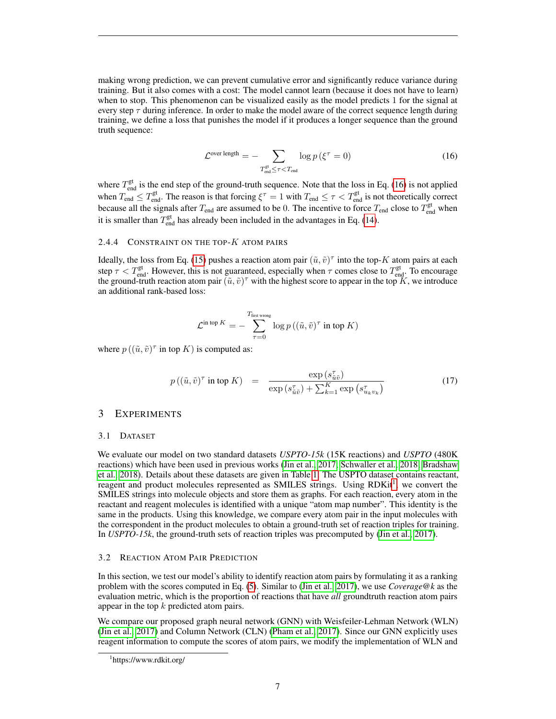making wrong prediction, we can prevent cumulative error and significantly reduce variance during training. But it also comes with a cost: The model cannot learn (because it does not have to learn) when to stop. This phenomenon can be visualized easily as the model predicts 1 for the signal at every step  $\tau$  during inference. In order to make the model aware of the correct sequence length during training, we define a loss that punishes the model if it produces a longer sequence than the ground truth sequence:

<span id="page-6-0"></span>
$$
\mathcal{L}^{\text{over length}} = -\sum_{T_{\text{end}}^{\text{gt}} \leq \tau < T_{\text{end}} \log p \left( \xi^{\tau} = 0 \right) \tag{16}
$$

where  $T_{end}^{gt}$  is the end step of the ground-truth sequence. Note that the loss in Eq. [\(16\)](#page-6-0) is not applied when  $T_{end} \leq T_{end}^{gt}$ . The reason is that forcing  $\xi^{\tau} = 1$  with  $T_{end} \leq \tau < T_{end}^{gt}$  is not theoretically correct because all the signals after  $T_{end}$  are assumed to be 0. The incentive to force  $T_{end}$  close to  $T_{end}$ <sup>gt</sup> when it is smaller than  $T_{\text{end}}^{\text{gt}}$  has already been included in the advantages in Eq. [\(14\)](#page-5-0).

## 2.4.4 CONSTRAINT ON THE TOP- $K$  ATOM PAIRS

Ideally, the loss from Eq. [\(15\)](#page-5-1) pushes a reaction atom pair  $(\tilde{u}, \tilde{v})^{\tau}$  into the top-K atom pairs at each step  $\tau < T_{end}^{gt}$ . However, this is not guaranteed, especially when  $\tau$  comes close to  $T_{end}^{gt}$ . To encourage the ground-truth reaction atom pair  $(\tilde{u}, \tilde{v})^{\tau}$  with the highest score to appear in the top  $K$ , we introduce an additional rank-based loss:

$$
\mathcal{L}^{\text{in top }K} = -\sum_{\tau=0}^{T_{\text{first wrong}}} \log p\left((\tilde{u}, \tilde{v})^{\tau} \text{ in top }K\right)
$$

where  $p((\tilde{u}, \tilde{v})^{\tau}$  in top K) is computed as:

$$
p\left((\tilde{u},\tilde{v})^{\tau}\text{ in top }K\right) = \frac{\exp\left(s_{\tilde{u}\tilde{v}}^{\tau}\right)}{\exp\left(s_{\tilde{u}\tilde{v}}^{\tau}\right) + \sum_{k=1}^{K}\exp\left(s_{u_kv_k}^{\tau}\right)}\tag{17}
$$

## 3 EXPERIMENTS

### 3.1 DATASET

We evaluate our model on two standard datasets *USPTO-15k* (15K reactions) and *USPTO* (480K reactions) which have been used in previous works [\(Jin et al., 2017;](#page-10-4) [Schwaller et al., 2018;](#page-11-7) [Bradshaw](#page-10-5) [et al., 2018\)](#page-10-5). Details about these datasets are given in Table [1.](#page-7-0) The USPTO dataset contains reactant, reagent and product molecules represented as SMILES strings. Using RDKit<sup>[1](#page-6-1)</sup>, we convert the SMILES strings into molecule objects and store them as graphs. For each reaction, every atom in the reactant and reagent molecules is identified with a unique "atom map number". This identity is the same in the products. Using this knowledge, we compare every atom pair in the input molecules with the correspondent in the product molecules to obtain a ground-truth set of reaction triples for training. In *USPTO-15k*, the ground-truth sets of reaction triples was precomputed by [\(Jin et al., 2017\)](#page-10-4).

#### <span id="page-6-2"></span>3.2 REACTION ATOM PAIR PREDICTION

In this section, we test our model's ability to identify reaction atom pairs by formulating it as a ranking problem with the scores computed in Eq. [\(5\)](#page-3-0). Similar to [\(Jin et al., 2017\)](#page-10-4), we use *Coverage@k* as the evaluation metric, which is the proportion of reactions that have *all* groundtruth reaction atom pairs appear in the top  $k$  predicted atom pairs.

We compare our proposed graph neural network (GNN) with Weisfeiler-Lehman Network (WLN) [\(Jin et al., 2017\)](#page-10-4) and Column Network (CLN) [\(Pham et al., 2017\)](#page-11-3). Since our GNN explicitly uses reagent information to compute the scores of atom pairs, we modify the implementation of WLN and

<span id="page-6-1"></span><sup>1</sup> https://www.rdkit.org/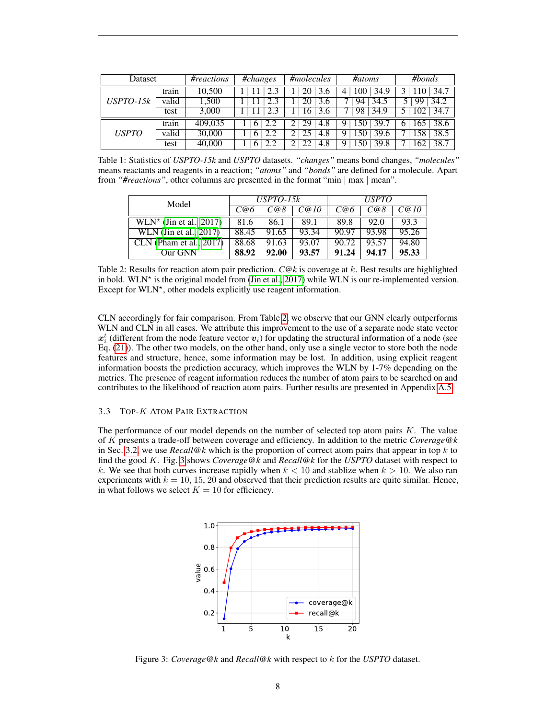<span id="page-7-0"></span>

| Dataset             |       | #reactions | $\overline{\text{\#changes}}$ | #molecules | #atoms           | #bonds     |  |
|---------------------|-------|------------|-------------------------------|------------|------------------|------------|--|
| $USPTO-15k$         | train | 10,500     |                               |            | 34.9<br>100<br>4 | 34.7       |  |
|                     | valid | 1,500      |                               |            | 94<br>34.5       | 34.2       |  |
|                     | test  | 3,000      |                               | 6          | 98<br>34.9       | 34.7       |  |
| <i><b>USPTO</b></i> | train | 409,035    | 2.2<br>6                      | 29<br>4.8  | 39.7             | 38.6       |  |
|                     | valid | 30,000     | 2.2<br>6                      | 4.8        | 39.6             | 38.5<br>58 |  |
|                     | test  | 40,000     | 2.2<br><sub>O</sub>           | 4.8        | 39.8             | 38.7<br>62 |  |

Table 1: Statistics of *USPTO-15k* and *USPTO* datasets. *"changes"* means bond changes, *"molecules"* means reactants and reagents in a reaction; *"atoms"* and *"bonds"* are defined for a molecule. Apart from *"#reactions"*, other columns are presented in the format "min | max | mean".

<span id="page-7-1"></span>

| Model                                      |       | $USPTO-15k$ |       | <i><b>USPTO</b></i> |       |       |
|--------------------------------------------|-------|-------------|-------|---------------------|-------|-------|
|                                            | C@6   | C@8         | C@10  | C@6                 | C@8   | C@10  |
| $WLN^*$ (Jin et al., 2017)                 | 81.6  | 86.1        | 89.1  | 89.8                | 92.0  | 93.3  |
| $\overline{\text{WLN}}$ (Jin et al., 2017) | 88.45 | 91.65       | 93.34 | 90.97               | 93.98 | 95.26 |
| $CLN$ (Pham et al., 2017)                  | 88.68 | 91.63       | 93.07 | 90.72               | 93.57 | 94.80 |
| Our GNN                                    | 88.92 | 92.00       | 93.57 | 91.24               | 94.17 | 95.33 |

Table 2: Results for reaction atom pair prediction. *C@k* is coverage at k. Best results are highlighted in bold. WLN\* is the original model from [\(Jin et al., 2017\)](#page-10-4) while WLN is our re-implemented version. Except for WLN\*, other models explicitly use reagent information.

CLN accordingly for fair comparison. From Table [2,](#page-7-1) we observe that our GNN clearly outperforms WLN and CLN in all cases. We attribute this improvement to the use of a separate node state vector  $x_i^t$  (different from the node feature vector  $v_i$ ) for updating the structural information of a node (see Eq. [\(21\)](#page-12-1)). The other two models, on the other hand, only use a single vector to store both the node features and structure, hence, some information may be lost. In addition, using explicit reagent information boosts the prediction accuracy, which improves the WLN by 1-7% depending on the metrics. The presence of reagent information reduces the number of atom pairs to be searched on and contributes to the likelihood of reaction atom pairs. Further results are presented in Appendix [A.5.](#page-15-0)

## 3.3 TOP-K ATOM PAIR EXTRACTION

<span id="page-7-2"></span>The performance of our model depends on the number of selected top atom pairs  $K$ . The value of K presents a trade-off between coverage and efficiency. In addition to the metric *Coverage@k* in Sec. [3.2,](#page-6-2) we use  $Recall@k$  which is the proportion of correct atom pairs that appear in top  $k$  to find the good K. Fig. [3](#page-7-2) shows *Coverage@k* and *Recall@k* for the *USPTO* dataset with respect to k. We see that both curves increase rapidly when  $k < 10$  and stablize when  $k > 10$ . We also ran experiments with  $k = 10, 15, 20$  and observed that their prediction results are quite similar. Hence, in what follows we select  $K = 10$  for efficiency.



Figure 3: *Coverage@k* and *Recall@k* with respect to k for the *USPTO* dataset.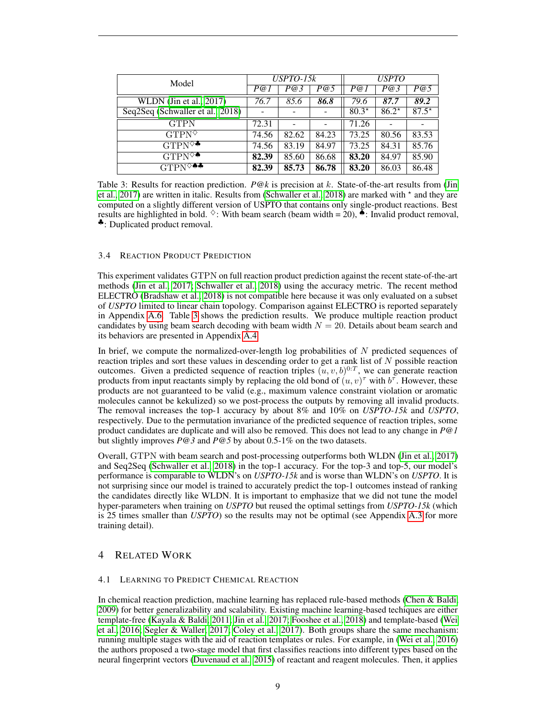<span id="page-8-0"></span>

| Model                                    | $USPTO-15k$ |       |       | <b>USPTO</b> |         |         |
|------------------------------------------|-------------|-------|-------|--------------|---------|---------|
|                                          | P@1         | P@3   | P@5   | P@1          | P@3     | P@5     |
| WLDN (Jin et al., 2017)                  | 76.7        | 85.6  | 86.8  | 79.6         | 87.7    | 89.2    |
| Seq2Seq (Schwaller et al., 2018)         |             |       |       | $80.3*$      | $86.2*$ | $87.5*$ |
| <b>GTPN</b>                              | 72.31       |       |       | 71.26        |         |         |
| $GTPN^{\diamondsuit}$                    | 74.56       | 82.62 | 84.23 | 73.25        | 80.56   | 83.53   |
| $GTPN^{\diamondsuit\clubsuit}$           | 74.56       | 83.19 | 84.97 | 73.25        | 84.31   | 85.76   |
| $GTPN^{\diamondsuit}\bullet$             | 82.39       | 85.60 | 86.68 | 83.20        | 84.97   | 85.90   |
| $GTPN^{\diamondsuit\spadesuit\clubsuit}$ | 82.39       | 85.73 | 86.78 | 83.20        | 86.03   | 86.48   |

Table 3: Results for reaction prediction. *P@k* is precision at k. State-of-the-art results from [\(Jin](#page-10-4) [et al., 2017\)](#page-10-4) are written in italic. Results from [\(Schwaller et al., 2018\)](#page-11-7) are marked with  $\star$  and they are computed on a slightly different version of USPTO that contains only single-product reactions. Best results are highlighted in bold.  $\Diamond$ : With beam search (beam width = 20),  $\bullet$ : Invalid product removal, ♣: Duplicated product removal.

## <span id="page-8-1"></span>3.4 REACTION PRODUCT PREDICTION

This experiment validates GTPN on full reaction product prediction against the recent state-of-the-art methods [\(Jin et al., 2017;](#page-10-4) [Schwaller et al., 2018\)](#page-11-7) using the accuracy metric. The recent method ELECTRO [\(Bradshaw et al., 2018\)](#page-10-5) is not compatible here because it was only evaluated on a subset of *USPTO* limited to linear chain topology. Comparison against ELECTRO is reported separately in Appendix [A.6.](#page-15-1) Table [3](#page-8-0) shows the prediction results. We produce multiple reaction product candidates by using beam search decoding with beam width  $N = 20$ . Details about beam search and its behaviors are presented in Appendix [A.4.](#page-14-0)

In brief, we compute the normalized-over-length log probabilities of  $N$  predicted sequences of reaction triples and sort these values in descending order to get a rank list of  $N$  possible reaction outcomes. Given a predicted sequence of reaction triples  $(u, v, b)^{0:T}$ , we can generate reaction products from input reactants simply by replacing the old bond of  $(u, v)^\tau$  with  $b^\tau$ . However, these products are not guaranteed to be valid (e.g., maximum valence constraint violation or aromatic molecules cannot be kekulized) so we post-process the outputs by removing all invalid products. The removal increases the top-1 accuracy by about 8% and 10% on *USPTO-15k* and *USPTO*, respectively. Due to the permutation invariance of the predicted sequence of reaction triples, some product candidates are duplicate and will also be removed. This does not lead to any change in *P@1* but slightly improves *P@3* and *P@5* by about 0.5-1% on the two datasets.

Overall, GTPN with beam search and post-processing outperforms both WLDN [\(Jin et al., 2017\)](#page-10-4) and Seq2Seq [\(Schwaller et al., 2018\)](#page-11-7) in the top-1 accuracy. For the top-3 and top-5, our model's performance is comparable to WLDN's on *USPTO-15k* and is worse than WLDN's on *USPTO*. It is not surprising since our model is trained to accurately predict the top-1 outcomes instead of ranking the candidates directly like WLDN. It is important to emphasize that we did not tune the model hyper-parameters when training on *USPTO* but reused the optimal settings from *USPTO-15k* (which is 25 times smaller than *USPTO*) so the results may not be optimal (see Appendix [A.3](#page-13-0) for more training detail).

## 4 RELATED WORK

## 4.1 LEARNING TO PREDICT CHEMICAL REACTION

In chemical reaction prediction, machine learning has replaced rule-based methods [\(Chen & Baldi,](#page-10-0) [2009\)](#page-10-0) for better generalizability and scalability. Existing machine learning-based techiques are either template-free [\(Kayala & Baldi, 2011;](#page-10-1) [Jin et al., 2017;](#page-10-4) [Fooshee et al., 2018\)](#page-10-9) and template-based [\(Wei](#page-11-0) [et al., 2016;](#page-11-0) [Segler & Waller, 2017;](#page-11-1) [Coley et al., 2017\)](#page-10-2). Both groups share the same mechanism: running multiple stages with the aid of reaction templates or rules. For example, in [\(Wei et al., 2016\)](#page-11-0) the authors proposed a two-stage model that first classifies reactions into different types based on the neural fingerprint vectors [\(Duvenaud et al., 2015\)](#page-10-6) of reactant and reagent molecules. Then, it applies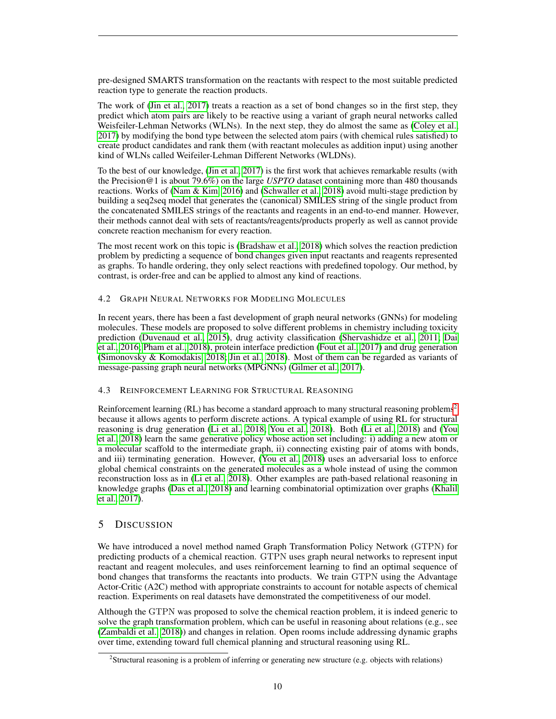pre-designed SMARTS transformation on the reactants with respect to the most suitable predicted reaction type to generate the reaction products.

The work of [\(Jin et al., 2017\)](#page-10-4) treats a reaction as a set of bond changes so in the first step, they predict which atom pairs are likely to be reactive using a variant of graph neural networks called Weisfeiler-Lehman Networks (WLNs). In the next step, they do almost the same as [\(Coley et al.,](#page-10-2) [2017\)](#page-10-2) by modifying the bond type between the selected atom pairs (with chemical rules satisfied) to create product candidates and rank them (with reactant molecules as addition input) using another kind of WLNs called Weifeiler-Lehman Different Networks (WLDNs).

To the best of our knowledge, [\(Jin et al., 2017\)](#page-10-4) is the first work that achieves remarkable results (with the Precision@1 is about 79.6%) on the large *USPTO* dataset containing more than 480 thousands reactions. Works of [\(Nam & Kim, 2016\)](#page-11-8) and [\(Schwaller et al., 2018\)](#page-11-7) avoid multi-stage prediction by building a seq2seq model that generates the (canonical) SMILES string of the single product from the concatenated SMILES strings of the reactants and reagents in an end-to-end manner. However, their methods cannot deal with sets of reactants/reagents/products properly as well as cannot provide concrete reaction mechanism for every reaction.

The most recent work on this topic is [\(Bradshaw et al., 2018\)](#page-10-5) which solves the reaction prediction problem by predicting a sequence of bond changes given input reactants and reagents represented as graphs. To handle ordering, they only select reactions with predefined topology. Our method, by contrast, is order-free and can be applied to almost any kind of reactions.

## 4.2 GRAPH NEURAL NETWORKS FOR MODELING MOLECULES

In recent years, there has been a fast development of graph neural networks (GNNs) for modeling molecules. These models are proposed to solve different problems in chemistry including toxicity prediction [\(Duvenaud et al., 2015\)](#page-10-6), drug activity classification [\(Shervashidze et al., 2011;](#page-11-9) [Dai](#page-10-10) [et al., 2016;](#page-10-10) [Pham et al., 2018\)](#page-11-10), protein interface prediction [\(Fout et al., 2017\)](#page-10-11) and drug generation [\(Simonovsky & Komodakis, 2018;](#page-11-11) [Jin et al., 2018\)](#page-10-12). Most of them can be regarded as variants of message-passing graph neural networks (MPGNNs) [\(Gilmer et al., 2017\)](#page-10-8).

## 4.3 REINFORCEMENT LEARNING FOR STRUCTURAL REASONING

Reinforcement learning (RL) has become a standard approach to many structural reasoning problems<sup>[2](#page-9-0)</sup> because it allows agents to perform discrete actions. A typical example of using RL for structural reasoning is drug generation [\(Li et al., 2018;](#page-11-12) [You et al., 2018\)](#page-11-13). Both [\(Li et al., 2018\)](#page-11-12) and [\(You](#page-11-13) [et al., 2018\)](#page-11-13) learn the same generative policy whose action set including: i) adding a new atom or a molecular scaffold to the intermediate graph, ii) connecting existing pair of atoms with bonds, and iii) terminating generation. However, [\(You et al., 2018\)](#page-11-13) uses an adversarial loss to enforce global chemical constraints on the generated molecules as a whole instead of using the common reconstruction loss as in [\(Li et al., 2018\)](#page-11-12). Other examples are path-based relational reasoning in knowledge graphs [\(Das et al., 2018\)](#page-10-13) and learning combinatorial optimization over graphs [\(Khalil](#page-11-14) [et al., 2017\)](#page-11-14).

## 5 DISCUSSION

We have introduced a novel method named Graph Transformation Policy Network (GTPN) for predicting products of a chemical reaction. GTPN uses graph neural networks to represent input reactant and reagent molecules, and uses reinforcement learning to find an optimal sequence of bond changes that transforms the reactants into products. We train GTPN using the Advantage Actor-Critic (A2C) method with appropriate constraints to account for notable aspects of chemical reaction. Experiments on real datasets have demonstrated the competitiveness of our model.

Although the GTPN was proposed to solve the chemical reaction problem, it is indeed generic to solve the graph transformation problem, which can be useful in reasoning about relations (e.g., see [\(Zambaldi et al., 2018\)](#page-11-15)) and changes in relation. Open rooms include addressing dynamic graphs over time, extending toward full chemical planning and structural reasoning using RL.

<span id="page-9-0"></span><sup>&</sup>lt;sup>2</sup>Structural reasoning is a problem of inferring or generating new structure (e.g. objects with relations)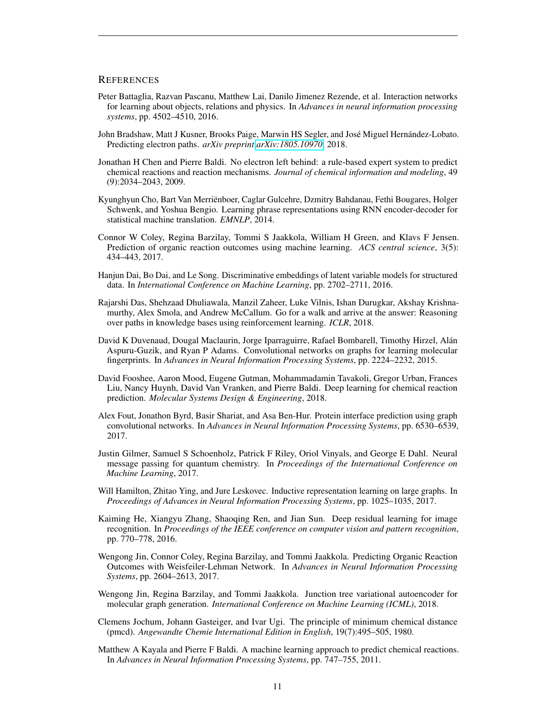## **REFERENCES**

- <span id="page-10-14"></span>Peter Battaglia, Razvan Pascanu, Matthew Lai, Danilo Jimenez Rezende, et al. Interaction networks for learning about objects, relations and physics. In *Advances in neural information processing systems*, pp. 4502–4510, 2016.
- <span id="page-10-5"></span>John Bradshaw, Matt J Kusner, Brooks Paige, Marwin HS Segler, and José Miguel Hernández-Lobato. Predicting electron paths. *arXiv preprint [arXiv:1805.10970](http://arxiv.org/abs/1805.10970)*, 2018.
- <span id="page-10-0"></span>Jonathan H Chen and Pierre Baldi. No electron left behind: a rule-based expert system to predict chemical reactions and reaction mechanisms. *Journal of chemical information and modeling*, 49 (9):2034–2043, 2009.
- <span id="page-10-15"></span>Kyunghyun Cho, Bart Van Merrienboer, Caglar Gulcehre, Dzmitry Bahdanau, Fethi Bougares, Holger ¨ Schwenk, and Yoshua Bengio. Learning phrase representations using RNN encoder-decoder for statistical machine translation. *EMNLP*, 2014.
- <span id="page-10-2"></span>Connor W Coley, Regina Barzilay, Tommi S Jaakkola, William H Green, and Klavs F Jensen. Prediction of organic reaction outcomes using machine learning. *ACS central science*, 3(5): 434–443, 2017.
- <span id="page-10-10"></span>Hanjun Dai, Bo Dai, and Le Song. Discriminative embeddings of latent variable models for structured data. In *International Conference on Machine Learning*, pp. 2702–2711, 2016.
- <span id="page-10-13"></span>Rajarshi Das, Shehzaad Dhuliawala, Manzil Zaheer, Luke Vilnis, Ishan Durugkar, Akshay Krishnamurthy, Alex Smola, and Andrew McCallum. Go for a walk and arrive at the answer: Reasoning over paths in knowledge bases using reinforcement learning. *ICLR*, 2018.
- <span id="page-10-6"></span>David K Duvenaud, Dougal Maclaurin, Jorge Iparraguirre, Rafael Bombarell, Timothy Hirzel, Alan´ Aspuru-Guzik, and Ryan P Adams. Convolutional networks on graphs for learning molecular fingerprints. In *Advances in Neural Information Processing Systems*, pp. 2224–2232, 2015.
- <span id="page-10-9"></span>David Fooshee, Aaron Mood, Eugene Gutman, Mohammadamin Tavakoli, Gregor Urban, Frances Liu, Nancy Huynh, David Van Vranken, and Pierre Baldi. Deep learning for chemical reaction prediction. *Molecular Systems Design & Engineering*, 2018.
- <span id="page-10-11"></span>Alex Fout, Jonathon Byrd, Basir Shariat, and Asa Ben-Hur. Protein interface prediction using graph convolutional networks. In *Advances in Neural Information Processing Systems*, pp. 6530–6539, 2017.
- <span id="page-10-8"></span>Justin Gilmer, Samuel S Schoenholz, Patrick F Riley, Oriol Vinyals, and George E Dahl. Neural message passing for quantum chemistry. In *Proceedings of the International Conference on Machine Learning*, 2017.
- <span id="page-10-7"></span>Will Hamilton, Zhitao Ying, and Jure Leskovec. Inductive representation learning on large graphs. In *Proceedings of Advances in Neural Information Processing Systems*, pp. 1025–1035, 2017.
- <span id="page-10-16"></span>Kaiming He, Xiangyu Zhang, Shaoqing Ren, and Jian Sun. Deep residual learning for image recognition. In *Proceedings of the IEEE conference on computer vision and pattern recognition*, pp. 770–778, 2016.
- <span id="page-10-4"></span>Wengong Jin, Connor Coley, Regina Barzilay, and Tommi Jaakkola. Predicting Organic Reaction Outcomes with Weisfeiler-Lehman Network. In *Advances in Neural Information Processing Systems*, pp. 2604–2613, 2017.
- <span id="page-10-12"></span>Wengong Jin, Regina Barzilay, and Tommi Jaakkola. Junction tree variational autoencoder for molecular graph generation. *International Conference on Machine Learning (ICML)*, 2018.
- <span id="page-10-3"></span>Clemens Jochum, Johann Gasteiger, and Ivar Ugi. The principle of minimum chemical distance (pmcd). *Angewandte Chemie International Edition in English*, 19(7):495–505, 1980.
- <span id="page-10-1"></span>Matthew A Kayala and Pierre F Baldi. A machine learning approach to predict chemical reactions. In *Advances in Neural Information Processing Systems*, pp. 747–755, 2011.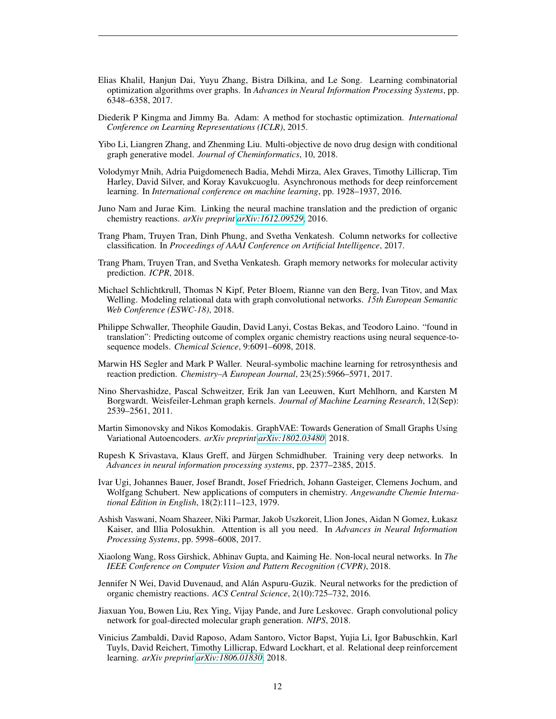- <span id="page-11-14"></span>Elias Khalil, Hanjun Dai, Yuyu Zhang, Bistra Dilkina, and Le Song. Learning combinatorial optimization algorithms over graphs. In *Advances in Neural Information Processing Systems*, pp. 6348–6358, 2017.
- <span id="page-11-18"></span>Diederik P Kingma and Jimmy Ba. Adam: A method for stochastic optimization. *International Conference on Learning Representations (ICLR)*, 2015.
- <span id="page-11-12"></span>Yibo Li, Liangren Zhang, and Zhenming Liu. Multi-objective de novo drug design with conditional graph generative model. *Journal of Cheminformatics*, 10, 2018.
- <span id="page-11-4"></span>Volodymyr Mnih, Adria Puigdomenech Badia, Mehdi Mirza, Alex Graves, Timothy Lillicrap, Tim Harley, David Silver, and Koray Kavukcuoglu. Asynchronous methods for deep reinforcement learning. In *International conference on machine learning*, pp. 1928–1937, 2016.
- <span id="page-11-8"></span>Juno Nam and Jurae Kim. Linking the neural machine translation and the prediction of organic chemistry reactions. *arXiv preprint [arXiv:1612.09529](http://arxiv.org/abs/1612.09529)*, 2016.
- <span id="page-11-3"></span>Trang Pham, Truyen Tran, Dinh Phung, and Svetha Venkatesh. Column networks for collective classification. In *Proceedings of AAAI Conference on Artificial Intelligence*, 2017.
- <span id="page-11-10"></span>Trang Pham, Truyen Tran, and Svetha Venkatesh. Graph memory networks for molecular activity prediction. *ICPR*, 2018.
- <span id="page-11-16"></span>Michael Schlichtkrull, Thomas N Kipf, Peter Bloem, Rianne van den Berg, Ivan Titov, and Max Welling. Modeling relational data with graph convolutional networks. *15th European Semantic Web Conference (ESWC-18)*, 2018.
- <span id="page-11-7"></span>Philippe Schwaller, Theophile Gaudin, David Lanyi, Costas Bekas, and Teodoro Laino. "found in translation": Predicting outcome of complex organic chemistry reactions using neural sequence-tosequence models. *Chemical Science*, 9:6091–6098, 2018.
- <span id="page-11-1"></span>Marwin HS Segler and Mark P Waller. Neural-symbolic machine learning for retrosynthesis and reaction prediction. *Chemistry–A European Journal*, 23(25):5966–5971, 2017.
- <span id="page-11-9"></span>Nino Shervashidze, Pascal Schweitzer, Erik Jan van Leeuwen, Kurt Mehlhorn, and Karsten M Borgwardt. Weisfeiler-Lehman graph kernels. *Journal of Machine Learning Research*, 12(Sep): 2539–2561, 2011.
- <span id="page-11-11"></span>Martin Simonovsky and Nikos Komodakis. GraphVAE: Towards Generation of Small Graphs Using Variational Autoencoders. *arXiv preprint [arXiv:1802.03480](http://arxiv.org/abs/1802.03480)*, 2018.
- <span id="page-11-17"></span>Rupesh K Srivastava, Klaus Greff, and Jürgen Schmidhuber. Training very deep networks. In *Advances in neural information processing systems*, pp. 2377–2385, 2015.
- <span id="page-11-2"></span>Ivar Ugi, Johannes Bauer, Josef Brandt, Josef Friedrich, Johann Gasteiger, Clemens Jochum, and Wolfgang Schubert. New applications of computers in chemistry. *Angewandte Chemie International Edition in English*, 18(2):111–123, 1979.
- <span id="page-11-5"></span>Ashish Vaswani, Noam Shazeer, Niki Parmar, Jakob Uszkoreit, Llion Jones, Aidan N Gomez, Łukasz Kaiser, and Illia Polosukhin. Attention is all you need. In *Advances in Neural Information Processing Systems*, pp. 5998–6008, 2017.
- <span id="page-11-6"></span>Xiaolong Wang, Ross Girshick, Abhinav Gupta, and Kaiming He. Non-local neural networks. In *The IEEE Conference on Computer Vision and Pattern Recognition (CVPR)*, 2018.
- <span id="page-11-0"></span>Jennifer N Wei, David Duvenaud, and Alán Aspuru-Guzik. Neural networks for the prediction of organic chemistry reactions. *ACS Central Science*, 2(10):725–732, 2016.
- <span id="page-11-13"></span>Jiaxuan You, Bowen Liu, Rex Ying, Vijay Pande, and Jure Leskovec. Graph convolutional policy network for goal-directed molecular graph generation. *NIPS*, 2018.
- <span id="page-11-15"></span>Vinicius Zambaldi, David Raposo, Adam Santoro, Victor Bapst, Yujia Li, Igor Babuschkin, Karl Tuyls, David Reichert, Timothy Lillicrap, Edward Lockhart, et al. Relational deep reinforcement learning. *arXiv preprint [arXiv:1806.01830](http://arxiv.org/abs/1806.01830)*, 2018.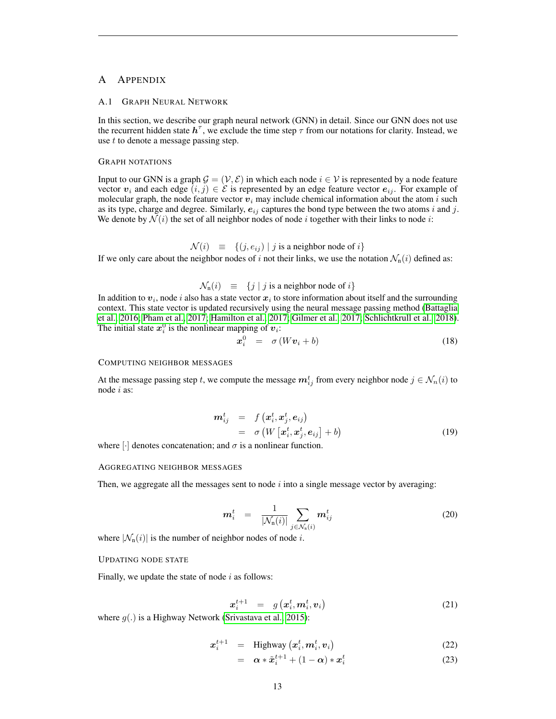## A APPENDIX

#### <span id="page-12-0"></span>A.1 GRAPH NEURAL NETWORK

In this section, we describe our graph neural network (GNN) in detail. Since our GNN does not use the recurrent hidden state  $h^{\tau}$ , we exclude the time step  $\tau$  from our notations for clarity. Instead, we use t to denote a message passing step.

#### GRAPH NOTATIONS

Input to our GNN is a graph  $\mathcal{G} = (\mathcal{V}, \mathcal{E})$  in which each node  $i \in \mathcal{V}$  is represented by a node feature vector  $v_i$  and each edge  $(i, j) \in \mathcal{E}$  is represented by an edge feature vector  $e_{ij}$ . For example of molecular graph, the node feature vector  $v_i$  may include chemical information about the atom i such as its type, charge and degree. Similarly,  $e_{ij}$  captures the bond type between the two atoms i and j. We denote by  $\mathcal{N}(i)$  the set of all neighbor nodes of node i together with their links to node i:

 $\mathcal{N}(i) \equiv \{(j, e_{ij}) | j \text{ is a neighbor node of } i\}$ 

If we only care about the neighbor nodes of i not their links, we use the notation  $\mathcal{N}_n(i)$  defined as:

 $\mathcal{N}_n(i) \equiv \{j \mid j \text{ is a neighbor node of } i\}$ 

In addition to  $\bm{v}_i$ , node  $i$  also has a state vector  $\bm{x}_i$  to store information about itself and the surrounding context. This state vector is updated recursively using the neural message passing method [\(Battaglia](#page-10-14) [et al., 2016;](#page-10-14) [Pham et al., 2017;](#page-11-3) [Hamilton et al., 2017;](#page-10-7) [Gilmer et al., 2017;](#page-10-8) [Schlichtkrull et al., 2018\)](#page-11-16). The initial state  $x_i^0$  is the nonlinear mapping of  $v_i$ :

$$
\boldsymbol{x}_i^0 = \sigma \left( W \boldsymbol{v}_i + b \right) \tag{18}
$$

#### COMPUTING NEIGHBOR MESSAGES

At the message passing step t, we compute the message  $m_{ij}^t$  from every neighbor node  $j \in \mathcal{N}_n(i)$  to node i as:

<span id="page-12-2"></span>
$$
\begin{array}{rcl}\n\bm{m}_{ij}^t & = & f\left(\bm{x}_i^t, \bm{x}_j^t, \bm{e}_{ij}\right) \\
& = & \sigma\left(W\left[\bm{x}_i^t, \bm{x}_j^t, \bm{e}_{ij}\right] + b\right)\n\end{array} \tag{19}
$$

where  $\lceil \cdot \rceil$  denotes concatenation; and  $\sigma$  is a nonlinear function.

#### AGGREGATING NEIGHBOR MESSAGES

Then, we aggregate all the messages sent to node  $i$  into a single message vector by averaging:

<span id="page-12-3"></span>
$$
\boldsymbol{m}_i^t = \frac{1}{|\mathcal{N}_n(i)|} \sum_{j \in \mathcal{N}_n(i)} \boldsymbol{m}_{ij}^t \tag{20}
$$

where  $|\mathcal{N}_n(i)|$  is the number of neighbor nodes of node *i*.

### UPDATING NODE STATE

Finally, we update the state of node  $i$  as follows:

<span id="page-12-1"></span>
$$
\boldsymbol{x}_i^{t+1} = g\left(\boldsymbol{x}_i^t, \boldsymbol{m}_i^t, \boldsymbol{v}_i\right) \tag{21}
$$

where  $g(.)$  is a Highway Network [\(Srivastava et al., 2015\)](#page-11-17):

<span id="page-12-4"></span>
$$
x_i^{t+1} = \text{Highway}\left(x_i^t, \boldsymbol{m}_i^t, \boldsymbol{v}_i\right) \tag{22}
$$

$$
= \alpha * \tilde{x}_i^{t+1} + (1 - \alpha) * x_i^t \tag{23}
$$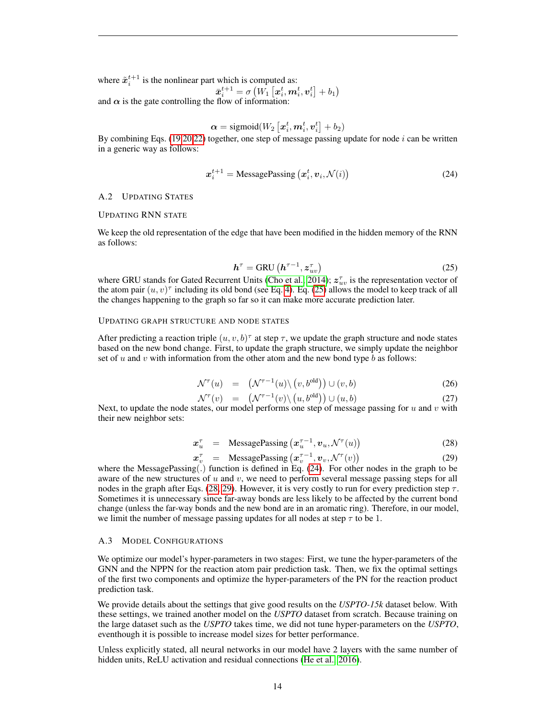where  $\tilde{x}_i^{t+1}$  is the nonlinear part which is computed as:  $\bar{\boldsymbol{x}}_i^{t+1} = \sigma\left(W_1\left[\boldsymbol{x}_i^{t}, \boldsymbol{m}_i^{t}, \boldsymbol{v}_i^{t}\right] + b_1\right)$ and  $\alpha$  is the gate controlling the flow of information:

$$
\boldsymbol{\alpha} = \text{sigmoid}(W_2\left[\boldsymbol{x}_i^t, \boldsymbol{m}_i^t, \boldsymbol{v}_i^t\right] + b_2)
$$

By combining Eqs. [\(19](#page-12-2)[,20,](#page-12-3)[22\)](#page-12-4) together, one step of message passing update for node i can be written in a generic way as follows:

<span id="page-13-3"></span>
$$
x_i^{t+1} = \text{MessagePassing}\left(x_i^t, v_i, \mathcal{N}(i)\right) \tag{24}
$$

## <span id="page-13-1"></span>A.2 UPDATING STATES

#### UPDATING RNN STATE

We keep the old representation of the edge that have been modified in the hidden memory of the RNN as follows:

<span id="page-13-2"></span>
$$
h^{\tau} = \text{GRU}\left(h^{\tau - 1}, z_{uv}^{\tau}\right) \tag{25}
$$

where GRU stands for Gated Recurrent Units [\(Cho et al., 2014\)](#page-10-15);  $z_{uv}^{\tau}$  is the representation vector of the atom pair  $(u, v)^\tau$  including its old bond (see Eq. [4\)](#page-3-0). Eq. [\(25\)](#page-13-2) allows the model to keep track of all the changes happening to the graph so far so it can make more accurate prediction later.

## UPDATING GRAPH STRUCTURE AND NODE STATES

After predicting a reaction triple  $(u, v, b)^\tau$  at step  $\tau$ , we update the graph structure and node states based on the new bond change. First, to update the graph structure, we simply update the neighbor set of  $u$  and  $v$  with information from the other atom and the new bond type  $b$  as follows:

<span id="page-13-5"></span>
$$
\mathcal{N}^{\tau}(u) = (\mathcal{N}^{\tau-1}(u) \setminus (v, b^{\text{old}})) \cup (v, b) \tag{26}
$$

$$
\mathcal{N}^{\tau}(v) = (\mathcal{N}^{\tau-1}(v) \setminus (u, b^{\text{old}})) \cup (u, b) \tag{27}
$$

Next, to update the node states, our model performs one step of message passing for  $u$  and  $v$  with their new neighbor sets:

<span id="page-13-4"></span>
$$
x_u^{\tau} = \text{MessagePassing}\left(x_u^{\tau-1}, v_u, \mathcal{N}^{\tau}(u)\right) \tag{28}
$$

$$
x_v^{\tau} = \text{MessagePassing} (x_v^{\tau-1}, v_v, \mathcal{N}^{\tau}(v))
$$
 (29)

where the MessagePassing(.) function is defined in Eq. [\(24\)](#page-13-3). For other nodes in the graph to be aware of the new structures of  $u$  and  $v$ , we need to perform several message passing steps for all nodes in the graph after Eqs. [\(28, 29\)](#page-13-4). However, it is very costly to run for every prediction step  $\tau$ . Sometimes it is unnecessary since far-away bonds are less likely to be affected by the current bond change (unless the far-way bonds and the new bond are in an aromatic ring). Therefore, in our model, we limit the number of message passing updates for all nodes at step  $\tau$  to be 1.

## <span id="page-13-0"></span>A.3 MODEL CONFIGURATIONS

We optimize our model's hyper-parameters in two stages: First, we tune the hyper-parameters of the GNN and the NPPN for the reaction atom pair prediction task. Then, we fix the optimal settings of the first two components and optimize the hyper-parameters of the PN for the reaction product prediction task.

We provide details about the settings that give good results on the *USPTO-15k* dataset below. With these settings, we trained another model on the *USPTO* dataset from scratch. Because training on the large dataset such as the *USPTO* takes time, we did not tune hyper-parameters on the *USPTO*, eventhough it is possible to increase model sizes for better performance.

Unless explicitly stated, all neural networks in our model have 2 layers with the same number of hidden units, ReLU activation and residual connections [\(He et al., 2016\)](#page-10-16).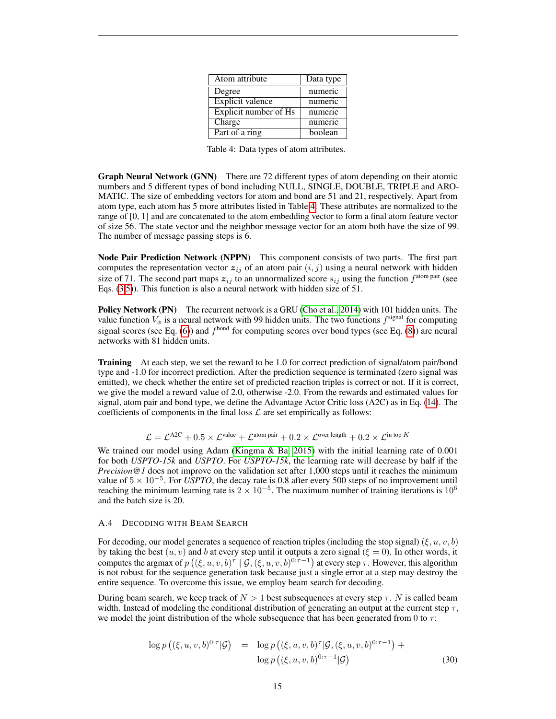| Atom attribute        | Data type |
|-----------------------|-----------|
| Degree                | numeric   |
| Explicit valence      | numeric   |
| Explicit number of Hs | numeric   |
| Charge                | numeric   |
| Part of a ring        | boolean   |

Table 4: Data types of atom attributes.

<span id="page-14-1"></span>Graph Neural Network (GNN) There are 72 different types of atom depending on their atomic numbers and 5 different types of bond including NULL, SINGLE, DOUBLE, TRIPLE and ARO-MATIC. The size of embedding vectors for atom and bond are 51 and 21, respectively. Apart from atom type, each atom has 5 more attributes listed in Table [4.](#page-14-1) These attributes are normalized to the range of [0, 1] and are concatenated to the atom embedding vector to form a final atom feature vector of size 56. The state vector and the neighbor message vector for an atom both have the size of 99. The number of message passing steps is 6.

Node Pair Prediction Network (NPPN) This component consists of two parts. The first part computes the representation vector  $z_{ij}$  of an atom pair  $(i, j)$  using a neural network with hidden size of 71. The second part maps  $z_{ij}$  to an unnormalized score  $s_{ij}$  using the function  $f^{\text{atom pair}}$  (see Eqs. [\(3,](#page-3-1)[5\)](#page-3-0)). This function is also a neural network with hidden size of 51.

Policy Network (PN) The recurrent network is a GRU [\(Cho et al., 2014\)](#page-10-15) with 101 hidden units. The value function  $V_{\phi}$  is a neural network with 99 hidden units. The two functions  $f^{\text{signal}}$  for computing signal scores (see Eq. [\(6\)](#page-4-1)) and  $f<sup>bond</sup>$  for computing scores over bond types (see Eq. [\(8\)](#page-4-2)) are neural networks with 81 hidden units.

Training At each step, we set the reward to be 1.0 for correct prediction of signal/atom pair/bond type and -1.0 for incorrect prediction. After the prediction sequence is terminated (zero signal was emitted), we check whether the entire set of predicted reaction triples is correct or not. If it is correct, we give the model a reward value of 2.0, otherwise -2.0. From the rewards and estimated values for signal, atom pair and bond type, we define the Advantage Actor Critic loss (A2C) as in Eq. [\(14\)](#page-5-0). The coefficients of components in the final loss  $\mathcal L$  are set empirically as follows:

$$
\mathcal{L} = \mathcal{L}^{\text{A2C}} + 0.5 \times \mathcal{L}^{\text{value}} + \mathcal{L}^{\text{atom pair}} + 0.2 \times \mathcal{L}^{\text{over length}} + 0.2 \times \mathcal{L}^{\text{in top } K}
$$

We trained our model using Adam (Kingma  $\&$  Ba, 2015) with the initial learning rate of 0.001 for both *USPTO-15k* and *USPTO*. For *USPTO-15k*, the learning rate will decrease by half if the *Precision@1* does not improve on the validation set after 1,000 steps until it reaches the minimum value of  $5 \times 10^{-5}$ . For *USPTO*, the decay rate is 0.8 after every 500 steps of no improvement until reaching the minimum learning rate is  $2 \times 10^{-5}$ . The maximum number of training iterations is  $10^6$ and the batch size is 20.

## <span id="page-14-0"></span>A.4 DECODING WITH BEAM SEARCH

For decoding, our model generates a sequence of reaction triples (including the stop signal)  $(\xi, u, v, b)$ by taking the best  $(u, v)$  and b at every step until it outputs a zero signal  $(\xi = 0)$ . In other words, it computes the argmax of  $p((\xi, u, v, b)^\tau \mid \mathcal{G}, (\xi, u, v, b)^{0:\tau-1})$  at every step  $\tau$ . However, this algorithm is not robust for the sequence generation task because just a single error at a step may destroy the entire sequence. To overcome this issue, we employ beam search for decoding.

During beam search, we keep track of  $N > 1$  best subsequences at every step  $\tau$ . N is called beam width. Instead of modeling the conditional distribution of generating an output at the current step  $\tau$ , we model the joint distribution of the whole subsequence that has been generated from 0 to  $\tau$ :

<span id="page-14-2"></span>
$$
\log p\left((\xi, u, v, b)^{0:\tau}|\mathcal{G}\right) = \log p\left((\xi, u, v, b)^{\tau}|\mathcal{G}, (\xi, u, v, b)^{0:\tau-1}\right) + \log p\left((\xi, u, v, b)^{0:\tau-1}|\mathcal{G}\right)
$$
\n(30)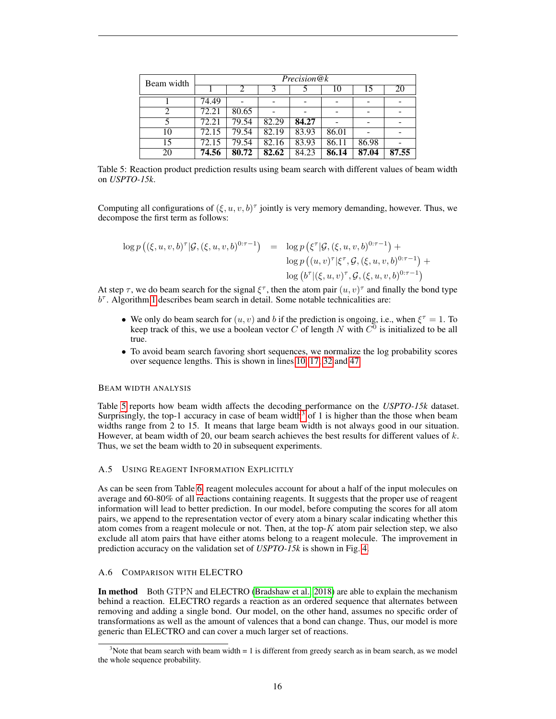<span id="page-15-2"></span>

| Beam width | Precision@k |       |       |       |       |       |       |  |
|------------|-------------|-------|-------|-------|-------|-------|-------|--|
|            |             | 2     | 3     |       | 10    | 15    | 20    |  |
|            | 74.49       |       |       |       |       |       |       |  |
|            | 72.21       | 80.65 |       |       |       |       |       |  |
|            | 72.21       | 79.54 | 82.29 | 84.27 |       |       |       |  |
| 10         | 72.15       | 79.54 | 82.19 | 83.93 | 86.01 |       |       |  |
| 15         | 72.15       | 79.54 | 82.16 | 83.93 | 86.11 | 86.98 |       |  |
| 20         | 74.56       | 80.72 | 82.62 | 84.23 | 86.14 | 87.04 | 87.55 |  |

Table 5: Reaction product prediction results using beam search with different values of beam width on *USPTO-15k*.

Computing all configurations of  $(\xi, u, v, b)^\tau$  jointly is very memory demanding, however. Thus, we decompose the first term as follows:

$$
\log p\left( (\xi, u, v, b)^{\tau} | \mathcal{G}, (\xi, u, v, b)^{0:\tau-1} \right) = \log p\left( \xi^{\tau} | \mathcal{G}, (\xi, u, v, b)^{0:\tau-1} \right) + \log p\left( (u, v)^{\tau} | \xi^{\tau}, \mathcal{G}, (\xi, u, v, b)^{0:\tau-1} \right) + \log \left( b^{\tau} | (\xi, u, v)^{\tau}, \mathcal{G}, (\xi, u, v, b)^{0:\tau-1} \right)
$$

At step  $\tau$ , we do beam search for the signal  $\xi^{\tau}$ , then the atom pair  $(u, v)^{\tau}$  and finally the bond type  $b^{\tau}$ . Algorithm [1](#page-16-0) describes beam search in detail. Some notable technicalities are:

- We only do beam search for  $(u, v)$  and b if the prediction is ongoing, i.e., when  $\xi^{\tau} = 1$ . To keep track of this, we use a boolean vector C of length N with  $C^0$  is initialized to be all true.
- To avoid beam search favoring short sequences, we normalize the log probability scores over sequence lengths. This is shown in lines [10, 17, 32](#page-14-2) and [47](#page-16-0)

## BEAM WIDTH ANALYSIS

Table [5](#page-15-2) reports how beam width affects the decoding performance on the *USPTO-15k* dataset. Surprisingly, the top-1 accuracy in case of beam width<sup>[3](#page-15-3)</sup> of 1 is higher than the those when beam widths range from 2 to 15. It means that large beam width is not always good in our situation. However, at beam width of 20, our beam search achieves the best results for different values of  $k$ . Thus, we set the beam width to 20 in subsequent experiments.

## <span id="page-15-0"></span>A.5 USING REAGENT INFORMATION EXPLICITLY

As can be seen from Table [6,](#page-17-0) reagent molecules account for about a half of the input molecules on average and 60-80% of all reactions containing reagents. It suggests that the proper use of reagent information will lead to better prediction. In our model, before computing the scores for all atom pairs, we append to the representation vector of every atom a binary scalar indicating whether this atom comes from a reagent molecule or not. Then, at the top- $K$  atom pair selection step, we also exclude all atom pairs that have either atoms belong to a reagent molecule. The improvement in prediction accuracy on the validation set of *USPTO-15k* is shown in Fig. [4.](#page-17-1)

## <span id="page-15-1"></span>A.6 COMPARISON WITH ELECTRO

In method Both GTPN and ELECTRO [\(Bradshaw et al., 2018\)](#page-10-5) are able to explain the mechanism behind a reaction. ELECTRO regards a reaction as an ordered sequence that alternates between removing and adding a single bond. Our model, on the other hand, assumes no specific order of transformations as well as the amount of valences that a bond can change. Thus, our model is more generic than ELECTRO and can cover a much larger set of reactions.

<span id="page-15-3"></span> $3$ Note that beam search with beam width = 1 is different from greedy search as in beam search, as we model the whole sequence probability.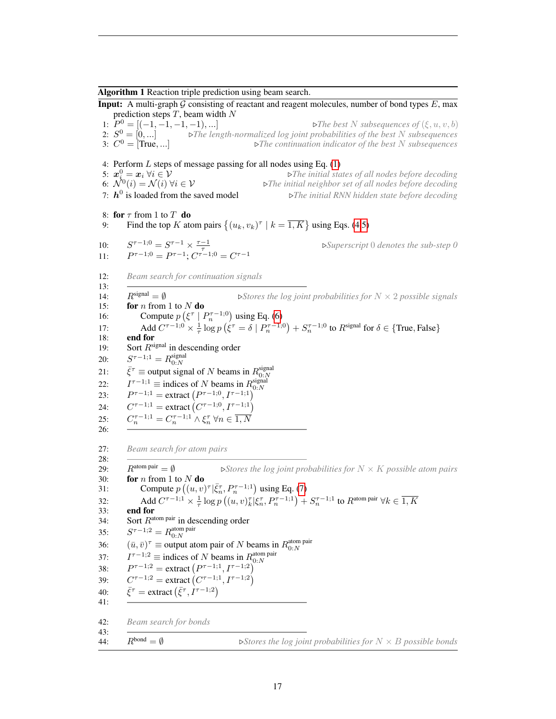<span id="page-16-0"></span>Algorithm 1 Reaction triple prediction using beam search.

**Input:** A multi-graph  $\mathcal G$  consisting of reactant and reagent molecules, number of bond types  $E$ , max prediction steps  $T$ , beam width  $N$ 1:  $P^0 = \{(-1, -1, -1, -1), \ldots\}$  $\triangleright$  The best N subsequences of  $(\xi, u, v, b)$ 2:  $S^0 = [0, ...]$  $\triangleright$  The length-normalized log joint probabilities of the best N subsequences 3:  $C^0 =$  True, ...  $\triangleright$ The continuation indicator of the best N subsequences 4: Perform  $L$  steps of message passing for all nodes using Eq.  $(1)$ 5:  $x_i^0$  $▶$ **The initial states of all nodes before decoding** 6:  $\mathcal{N}^0(i) = \mathcal{N}(i) \ \forall i \in \mathcal{V}$ (i) = N (i) ∀i ∈ V .*The initial neighbor set of all nodes before decoding* 7:  $\boldsymbol{h}^0$  $\triangleright$ The initial RNN hidden state before decoding 8: for  $\tau$  from 1 to  $T$  do 9: Find the top K atom pairs  $\{(u_k, v_k)^{\tau} \mid k = \overline{1, K}\}\$ using Eqs. [\(4,5\)](#page-3-0)  $10:$  $\tau^{\tau-1;0} = S^{\tau-1} \times \frac{\tau-1}{\tau}$ <br>  $\tau^{\tau-1;0} = P^{\tau-1}; C^{\tau-1;0} = C^{\tau-1}$ .*Superscript* 0 *denotes the sub-step 0*  $11:$ 12: *Beam search for continuation signals* 13: 14:  $R^{\text{signal}} = \emptyset$  *bStores the log joint probabilities for*  $N \times 2$  *possible signals* 15: **for** *n* from 1 to  $N$  **do** 16: Compute  $p\left(\xi^{\tau} \mid P_n^{\tau-1,0}\right)$  using Eq. [\(6\)](#page-4-1) 17: Add  $C^{\tau-1;0} \times \frac{1}{\tau} \log p \left( \xi^{\tau} = \delta \mid P_n^{\tau-1;0} \right) + S_n^{\tau-1;0}$  to  $R^{\text{signal}}$  for  $\delta \in \{\text{True}, \text{False}\}$ 18: end for 19: Sort  $R^{\text{signal}}$  in descending order  $20:$  $\tau^{-1;1} = R_{0:N}^{\text{signal}}$ 21:  $\bar{\xi}^{\tau} \equiv$  output signal of N beams in  $R_{0:N}^{\text{signal}}$  $22:$  $\tau^{-1,1} \equiv \text{indices of } N \text{ beams in } R_{0:N}^{\text{signal}}$  $23:$  $\tau^{-1,1} = \text{extract}\left(P^{\tau-1,0}, I^{\tau-1,1}\right)$  $24:$  $\tau^{-1;1} = \text{extract}(C^{\tau-1;0}, I^{\tau-1;1})$  $25:$  $\zeta_n^{\tau-1;1} = C_n^{\tau-1;1} \wedge \xi_n^{\tau} \ \forall n \in \overline{1,N}$ 26: 27: *Beam search for atom pairs* 28: 29:  $R^{\text{atom pair}} = \emptyset$  *bStores the log joint probabilities for*  $N \times K$  *possible atom pairs* 30: **for** *n* from 1 to  $N$  **do** 31: Compute  $p((u, v)^{\tau} | \bar{\xi}_n^{\tau}, P_n^{\tau-1;1})$  using Eq. [\(7\)](#page-4-3) 32: Add  $C^{\tau-1;1} \times \frac{1}{\tau} \log p((u, v)_{k}^{\tau} | \xi_n^{\tau}, P_n^{\tau-1;1}) + S_n^{\tau-1;1}$  to  $R^{\text{atom pair}} \forall k \in \overline{1, K}$ 33: end for 34: Sort  $R^{\text{atom pair}}$  in descending order  $35:$  $\tau$ <sup>-1;2</sup> =  $R_{0:N}^{\text{atom pair}}$ 36:  $(\bar{u}, \bar{v})^{\tau} \equiv$  output atom pair of N beams in  $R_{0:N}^{\text{atom pair}}$  $37:$  $\tau^{-1,2} \equiv \text{indices of } N \text{ beams in } R^{\text{atom pair}}_{0:N}$  $38:$  $\tau^{-1,2}$  = extract  $(P^{\tau-1,1}, I^{\tau-1,2})$  $39:$  $\tau^{-1,2}$  = extract  $(C^{\tau-1,1}, I^{\tau-1,2})$  $40:$  $\bar{\tau}$  = extract  $(\bar{\xi}^{\tau}, I^{\tau-1,2})$ 41: 42: *Beam search for bonds* 43: 44:  $R^{bond} = \emptyset$  *Stores the log joint probabilities for*  $N \times B$  *possible bonds*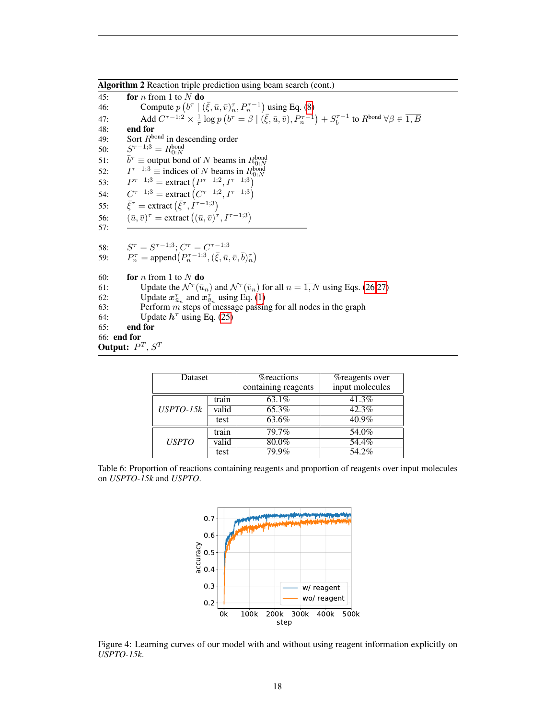Algorithm 2 Reaction triple prediction using beam search (cont.)

45: for *n* from 1 to  $N$  do 46: Compute  $p\left(b^{\tau} \mid (\bar{\xi}, \bar{u}, \bar{v})^{\tau}_{n}, P^{\tau-1}_{n}\right)$  using Eq. [\(8\)](#page-4-2) 47: Add  $C^{\tau-1,2} \times \frac{1}{\tau} \log p \left( b^{\tau} = \beta \mid (\bar{\xi}, \bar{u}, \bar{v}), P_n^{\tau-1} \right) + S_b^{\tau-1}$  to  $R^{\text{bond}} \forall \beta \in \overline{1, B}$ 48: **end for**<br>49: **Sort**  $R^{bq}$ 49: Sort  $R^{\text{bond}}$  in descending order 50: S  $\tau$ <sup>-1;3</sup> =  $R_{0:N}^{\text{bond}}$  $51:$  $\tau \equiv$  output bond of N beams in  $R_{0:N}^{\text{bond}}$ 52:  $\tau^{-1,3} \equiv$  indices of N beams in  $R_{0:N}^{\text{bond}}$  $53:$  $\tau^{-1,3}$  = extract  $(P^{\tau-1,2}, I^{\tau-1,3})$  $54:$  $\tau^{-1,3}$  = extract  $(C^{\tau-1,2}, I^{\tau-1,3})$ 55:  $\bar{\tau}$  = extract  $(\bar{\xi}^{\tau}, I^{\tau-1,3})$ 56:  $(\bar{u}, \bar{v})^{\tau} = \text{extract}\left((\bar{u}, \bar{v})^{\tau}, I^{\tau-1,3}\right)$ 57: 58:  $\tau = S^{\tau-1,3}$ ;  $C^{\tau} = C^{\tau-1,3}$ 59:  $P_n^{\tau} = \text{append}\left(P_n^{\tau-1,3}, (\bar{\xi}, \bar{u}, \bar{v}, \bar{b})_n^{\tau}\right)$ 60: **for** *n* from 1 to  $N$  **do** 61: Update the  $\mathcal{N}^{\tau}(\bar{u}_n)$  and  $\mathcal{N}^{\tau}(\bar{v}_n)$  for all  $n = \overline{1, N}$  using Eqs. [\(26,27\)](#page-13-5) 62: Update  $x_{\bar{u}_n}^{\tau}$  and  $x_{\bar{v}_n}^{\tau}$  using Eq. [\(1\)](#page-3-2) 63: Perform  $\hat{m}$  steps of message passing for all nodes in the graph 64: Update  $h^{\tau}$  using Eq. [\(25\)](#page-13-2) 65: end for 66: end for Output:  $P^T, S^T$ 

<span id="page-17-0"></span>

| Dataset      |       | <i>n</i> eactions   | <i>n</i> eagents over |  |
|--------------|-------|---------------------|-----------------------|--|
|              |       | containing reagents | input molecules       |  |
|              | train | $63.1\%$            | 41.3%                 |  |
| $USPTO-15k$  | valid | 65.3%               | 42.3%                 |  |
|              | test  | 63.6%               | $40.9\%$              |  |
|              | train | 79.7%               | 54.0%                 |  |
| <b>USPTO</b> | valid | $80.0\%$            | 54.4%                 |  |
|              | test  | $79.9\%$            | $54.2\%$              |  |

<span id="page-17-1"></span>Table 6: Proportion of reactions containing reagents and proportion of reagents over input molecules on *USPTO-15k* and *USPTO*.



Figure 4: Learning curves of our model with and without using reagent information explicitly on *USPTO-15k*.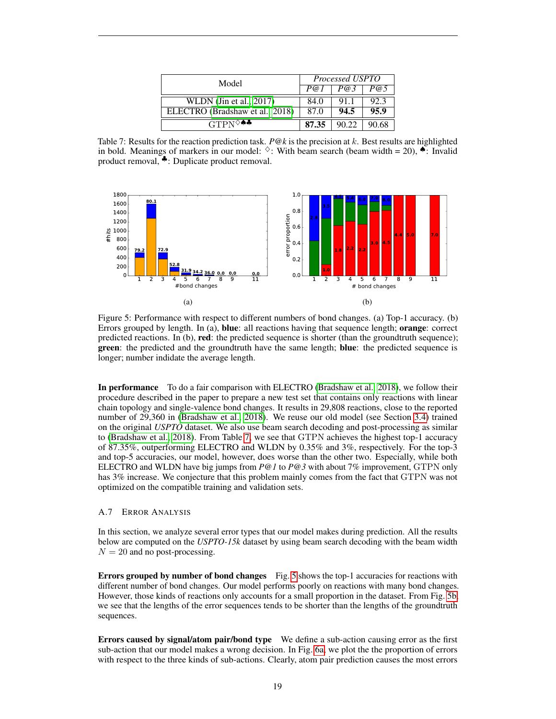<span id="page-18-0"></span>

| Model                                | Processed USPTO |       |       |  |
|--------------------------------------|-----------------|-------|-------|--|
|                                      | P@1             | P@3   | P@5   |  |
| WLDN $(\text{Jin et al.}, 2017)$     | 84.0            | 911   | 92.3  |  |
| ELECTRO (Bradshaw et al., 2018)      | 87.0            | 94.5  | 95.9  |  |
| $GTPN^{\diamond\spadesuit\clubsuit}$ | 87.35           | 90.22 | 90.68 |  |

Table 7: Results for the reaction prediction task. *P@k* is the precision at k. Best results are highlighted in bold. Meanings of markers in our model:  $\diamond$ : With beam search (beam width = 20),  $\bullet$ : Invalid product removal, ♣: Duplicate product removal.



<span id="page-18-1"></span>Figure 5: Performance with respect to different numbers of bond changes. (a) Top-1 accuracy. (b) Errors grouped by length. In (a), blue: all reactions having that sequence length; orange: correct predicted reactions. In (b), red: the predicted sequence is shorter (than the groundtruth sequence); **green**: the predicted and the groundtruth have the same length; **blue**: the predicted sequence is longer; number indidate the average length.

In performance To do a fair comparison with ELECTRO [\(Bradshaw et al., 2018\)](#page-10-5), we follow their procedure described in the paper to prepare a new test set that contains only reactions with linear chain topology and single-valence bond changes. It results in 29,808 reactions, close to the reported number of 29,360 in [\(Bradshaw et al., 2018\)](#page-10-5). We reuse our old model (see Section [3.4\)](#page-8-1) trained on the original *USPTO* dataset. We also use beam search decoding and post-processing as similar to [\(Bradshaw et al., 2018\)](#page-10-5). From Table [7,](#page-18-0) we see that GTPN achieves the highest top-1 accuracy of 87.35%, outperforming ELECTRO and WLDN by 0.35% and 3%, respectively. For the top-3 and top-5 accuracies, our model, however, does worse than the other two. Especially, while both ELECTRO and WLDN have big jumps from *P@1* to *P@3* with about 7% improvement, GTPN only has 3% increase. We conjecture that this problem mainly comes from the fact that GTPN was not optimized on the compatible training and validation sets.

#### A.7 ERROR ANALYSIS

In this section, we analyze several error types that our model makes during prediction. All the results below are computed on the *USPTO-15k* dataset by using beam search decoding with the beam width  $N = 20$  and no post-processing.

Errors grouped by number of bond changes Fig. [5](#page-15-2) shows the top-1 accuracies for reactions with different number of bond changes. Our model performs poorly on reactions with many bond changes. However, those kinds of reactions only accounts for a small proportion in the dataset. From Fig. [5b,](#page-18-1) we see that the lengths of the error sequences tends to be shorter than the lengths of the groundtruth sequences.

Errors caused by signal/atom pair/bond type We define a sub-action causing error as the first sub-action that our model makes a wrong decision. In Fig. [6a,](#page-19-0) we plot the the proportion of errors with respect to the three kinds of sub-actions. Clearly, atom pair prediction causes the most errors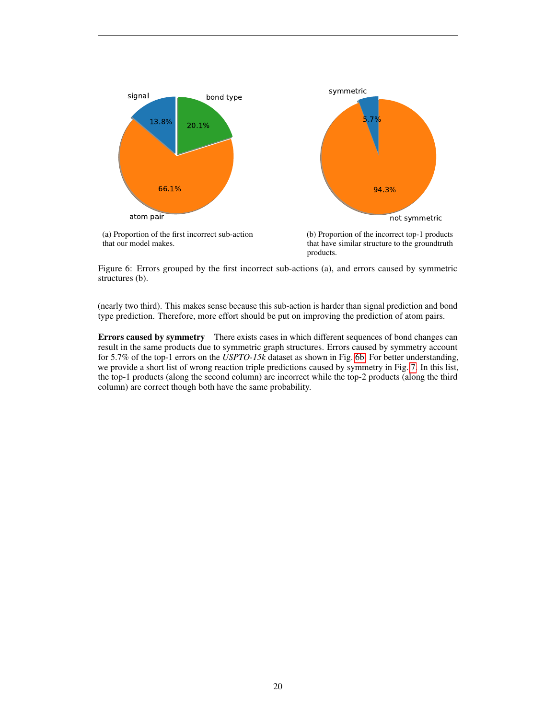<span id="page-19-0"></span>

<span id="page-19-1"></span>Figure 6: Errors grouped by the first incorrect sub-actions (a), and errors caused by symmetric structures (b).

(nearly two third). This makes sense because this sub-action is harder than signal prediction and bond type prediction. Therefore, more effort should be put on improving the prediction of atom pairs.

Errors caused by symmetry There exists cases in which different sequences of bond changes can result in the same products due to symmetric graph structures. Errors caused by symmetry account for 5.7% of the top-1 errors on the *USPTO-15k* dataset as shown in Fig. [6b.](#page-19-1) For better understanding, we provide a short list of wrong reaction triple predictions caused by symmetry in Fig. [7.](#page-20-0) In this list, the top-1 products (along the second column) are incorrect while the top-2 products (along the third column) are correct though both have the same probability.